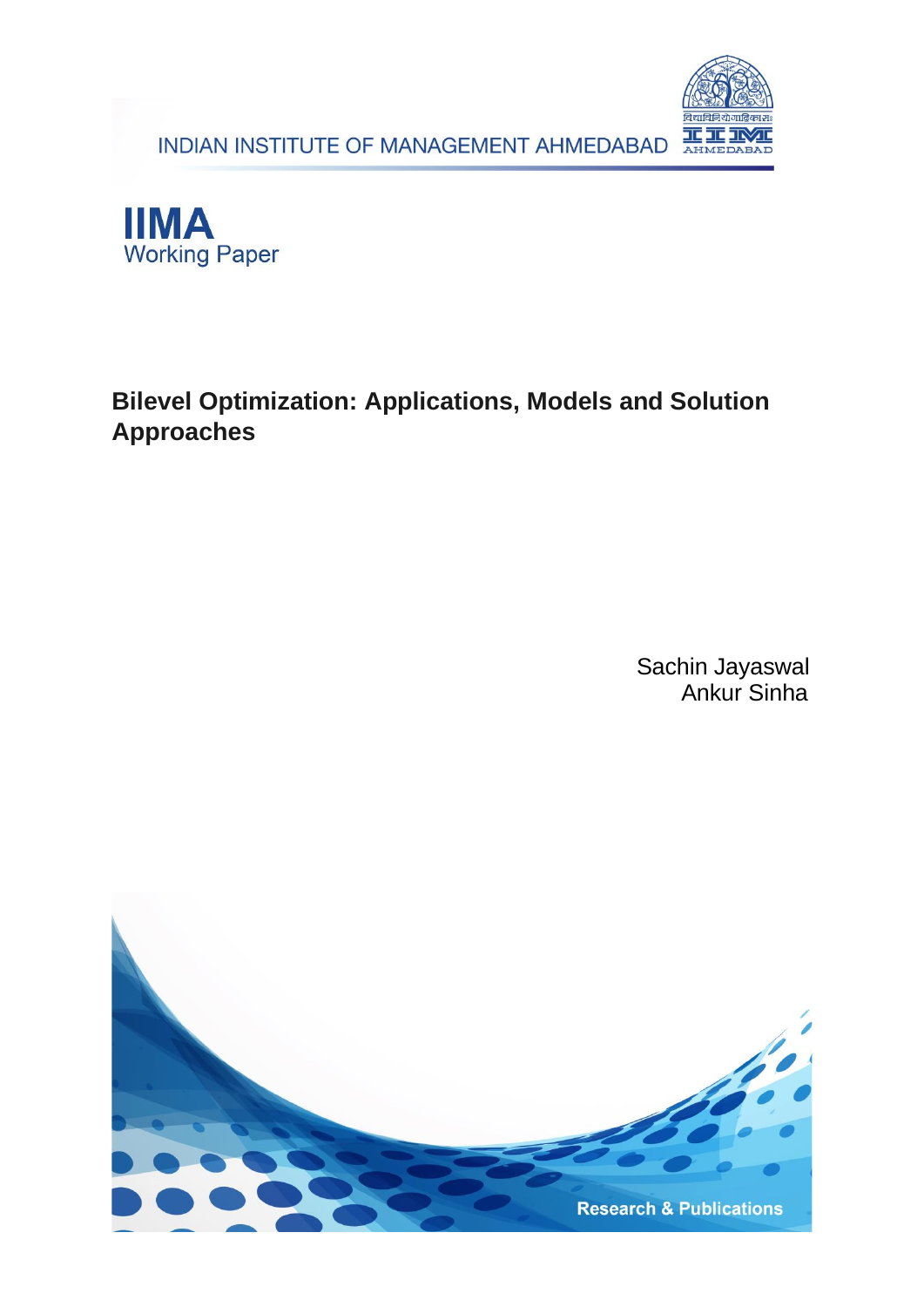INDIAN INSTITUTE OF MANAGEMENT AHMEDABAD





## **Bilevel Optimization: Applications, Models and Solution Approaches**

Sachin Jayaswal Ankur Sinha

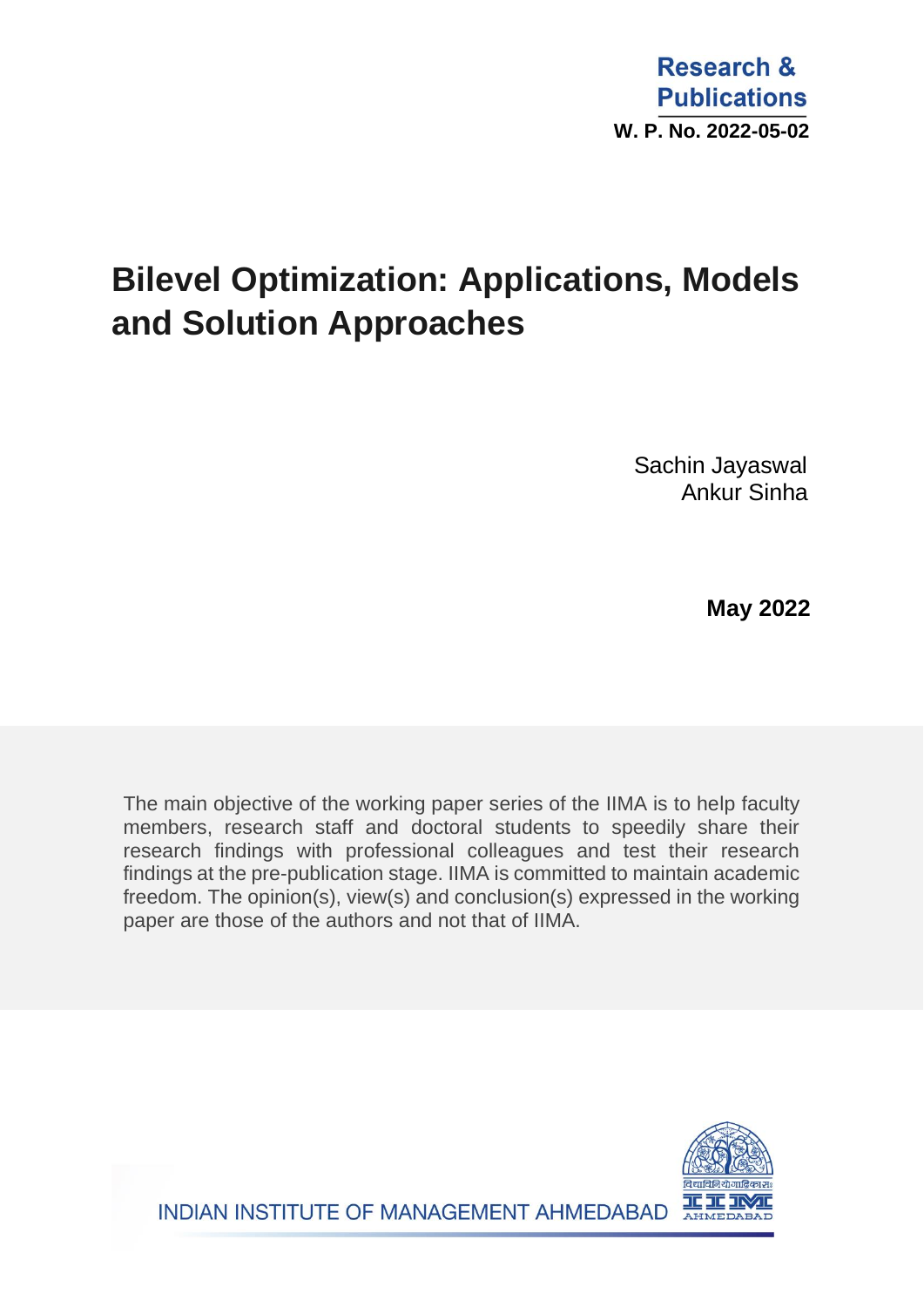# **Bilevel Optimization: Applications, Models and Solution Approaches**

Sachin Jayaswal Ankur Sinha

 **May 2022**

The main objective of the working paper series of the IIMA is to help faculty members, research staff and doctoral students to speedily share their research findings with professional colleagues and test their research findings at the pre-publication stage. IIMA is committed to maintain academic freedom. The opinion(s), view(s) and conclusion(s) expressed in the working paper are those of the authors and not that of IIMA.

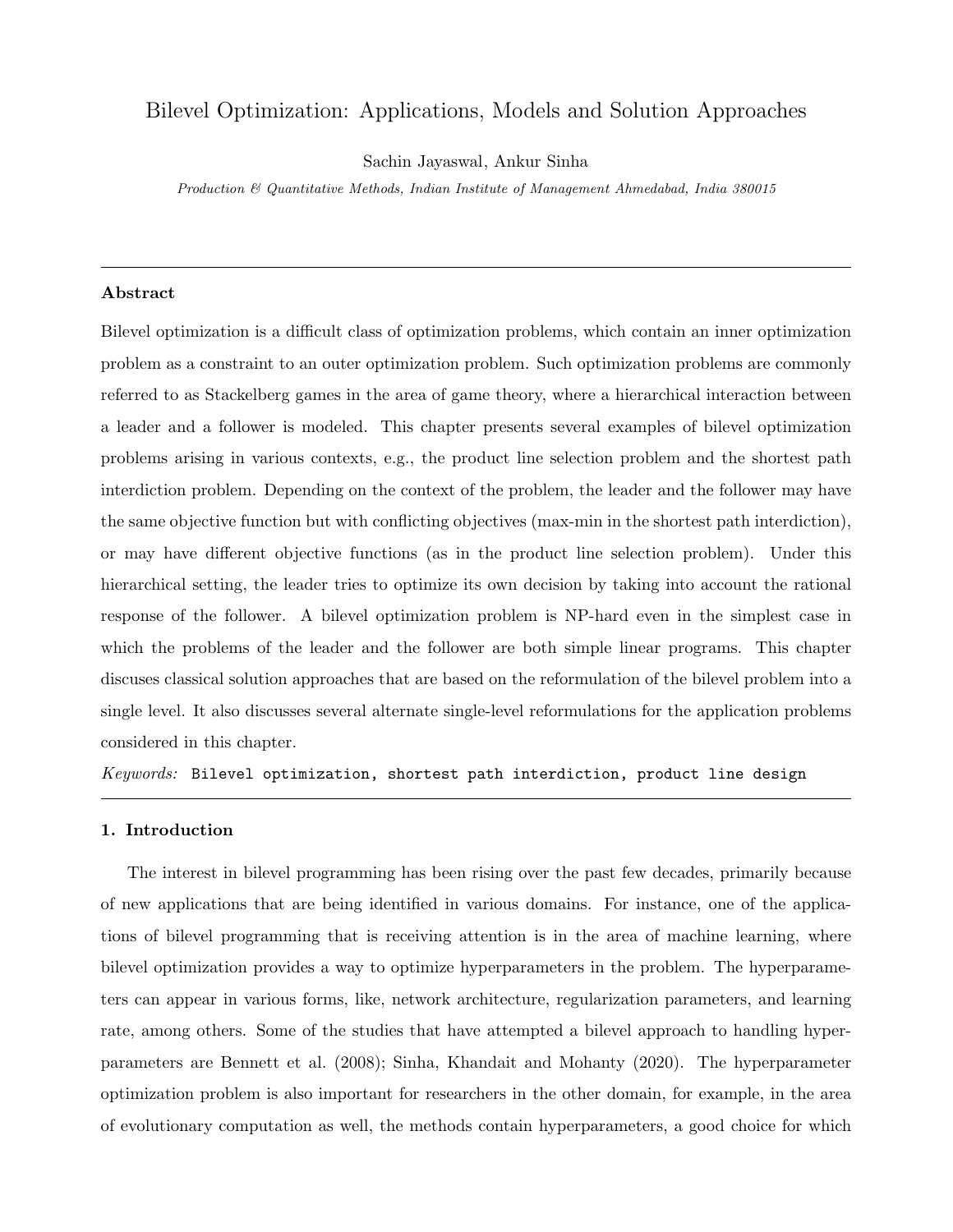### Bilevel Optimization: Applications, Models and Solution Approaches

Sachin Jayaswal, Ankur Sinha

Production & Quantitative Methods, Indian Institute of Management Ahmedabad, India 380015

#### Abstract

Bilevel optimization is a difficult class of optimization problems, which contain an inner optimization problem as a constraint to an outer optimization problem. Such optimization problems are commonly referred to as Stackelberg games in the area of game theory, where a hierarchical interaction between a leader and a follower is modeled. This chapter presents several examples of bilevel optimization problems arising in various contexts, e.g., the product line selection problem and the shortest path interdiction problem. Depending on the context of the problem, the leader and the follower may have the same objective function but with conflicting objectives (max-min in the shortest path interdiction), or may have different objective functions (as in the product line selection problem). Under this hierarchical setting, the leader tries to optimize its own decision by taking into account the rational response of the follower. A bilevel optimization problem is NP-hard even in the simplest case in which the problems of the leader and the follower are both simple linear programs. This chapter discuses classical solution approaches that are based on the reformulation of the bilevel problem into a single level. It also discusses several alternate single-level reformulations for the application problems considered in this chapter.

 $Keywords:$  Bilevel optimization, shortest path interdiction, product line design

#### 1. Introduction

The interest in bilevel programming has been rising over the past few decades, primarily because of new applications that are being identified in various domains. For instance, one of the applications of bilevel programming that is receiving attention is in the area of machine learning, where bilevel optimization provides a way to optimize hyperparameters in the problem. The hyperparameters can appear in various forms, like, network architecture, regularization parameters, and learning rate, among others. Some of the studies that have attempted a bilevel approach to handling hyperparameters are Bennett et al. (2008); Sinha, Khandait and Mohanty (2020). The hyperparameter optimization problem is also important for researchers in the other domain, for example, in the area of evolutionary computation as well, the methods contain hyperparameters, a good choice for which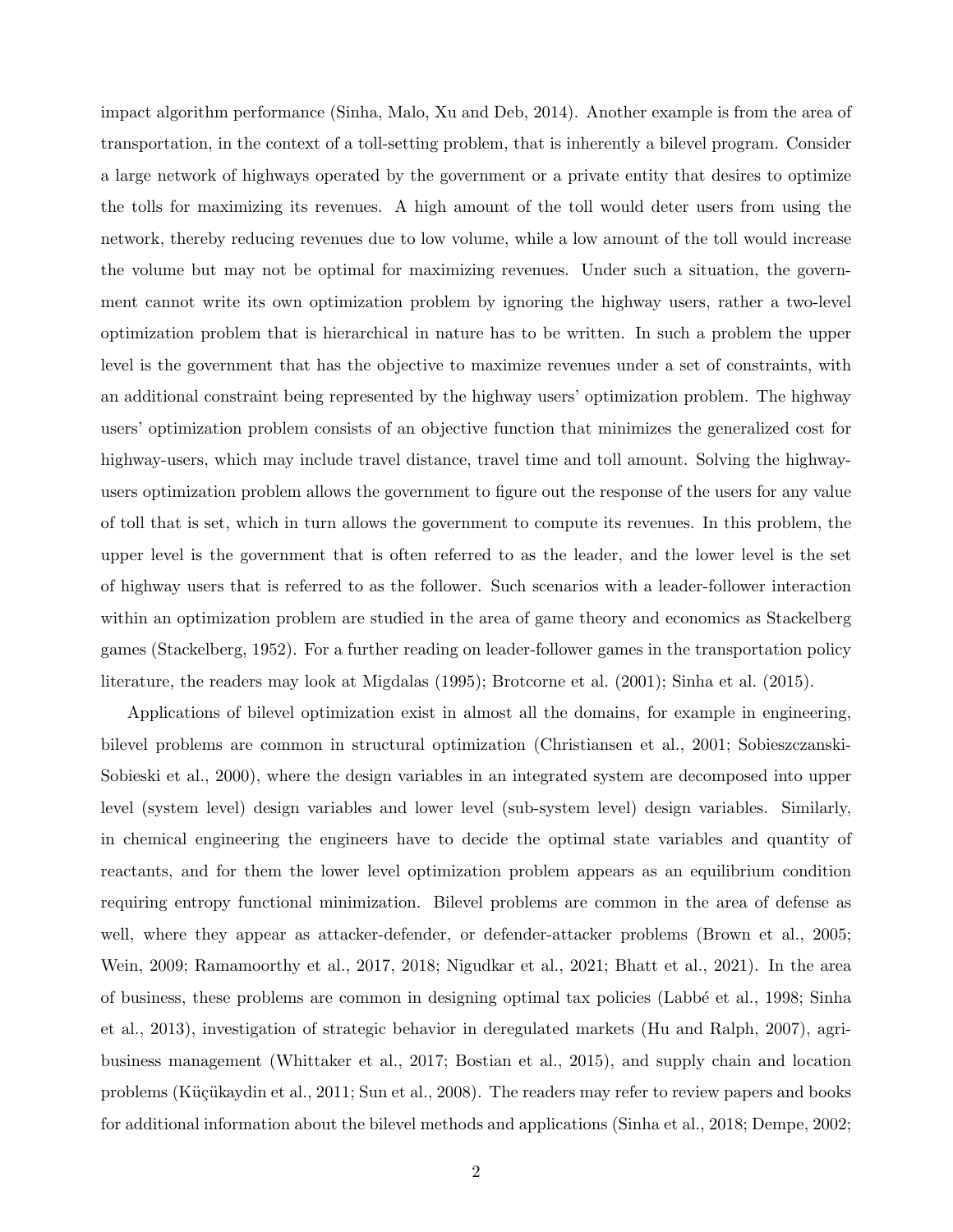impact algorithm performance (Sinha, Malo, Xu and Deb, 2014). Another example is from the area of transportation, in the context of a toll-setting problem, that is inherently a bilevel program. Consider a large network of highways operated by the government or a private entity that desires to optimize the tolls for maximizing its revenues. A high amount of the toll would deter users from using the network, thereby reducing revenues due to low volume, while a low amount of the toll would increase the volume but may not be optimal for maximizing revenues. Under such a situation, the government cannot write its own optimization problem by ignoring the highway users, rather a two-level optimization problem that is hierarchical in nature has to be written. In such a problem the upper level is the government that has the objective to maximize revenues under a set of constraints, with an additional constraint being represented by the highway users' optimization problem. The highway users' optimization problem consists of an objective function that minimizes the generalized cost for highway-users, which may include travel distance, travel time and toll amount. Solving the highwayusers optimization problem allows the government to figure out the response of the users for any value of toll that is set, which in turn allows the government to compute its revenues. In this problem, the upper level is the government that is often referred to as the leader, and the lower level is the set of highway users that is referred to as the follower. Such scenarios with a leader-follower interaction within an optimization problem are studied in the area of game theory and economics as Stackelberg games (Stackelberg, 1952). For a further reading on leader-follower games in the transportation policy literature, the readers may look at Migdalas (1995); Brotcorne et al. (2001); Sinha et al. (2015).

Applications of bilevel optimization exist in almost all the domains, for example in engineering, bilevel problems are common in structural optimization (Christiansen et al., 2001; Sobieszczanski-Sobieski et al., 2000), where the design variables in an integrated system are decomposed into upper level (system level) design variables and lower level (sub-system level) design variables. Similarly, in chemical engineering the engineers have to decide the optimal state variables and quantity of reactants, and for them the lower level optimization problem appears as an equilibrium condition requiring entropy functional minimization. Bilevel problems are common in the area of defense as well, where they appear as attacker-defender, or defender-attacker problems (Brown et al., 2005; Wein, 2009; Ramamoorthy et al., 2017, 2018; Nigudkar et al., 2021; Bhatt et al., 2021). In the area of business, these problems are common in designing optimal tax policies (Labb´e et al., 1998; Sinha et al., 2013), investigation of strategic behavior in deregulated markets (Hu and Ralph, 2007), agribusiness management (Whittaker et al., 2017; Bostian et al., 2015), and supply chain and location problems (Küçükaydin et al., 2011; Sun et al., 2008). The readers may refer to review papers and books for additional information about the bilevel methods and applications (Sinha et al., 2018; Dempe, 2002;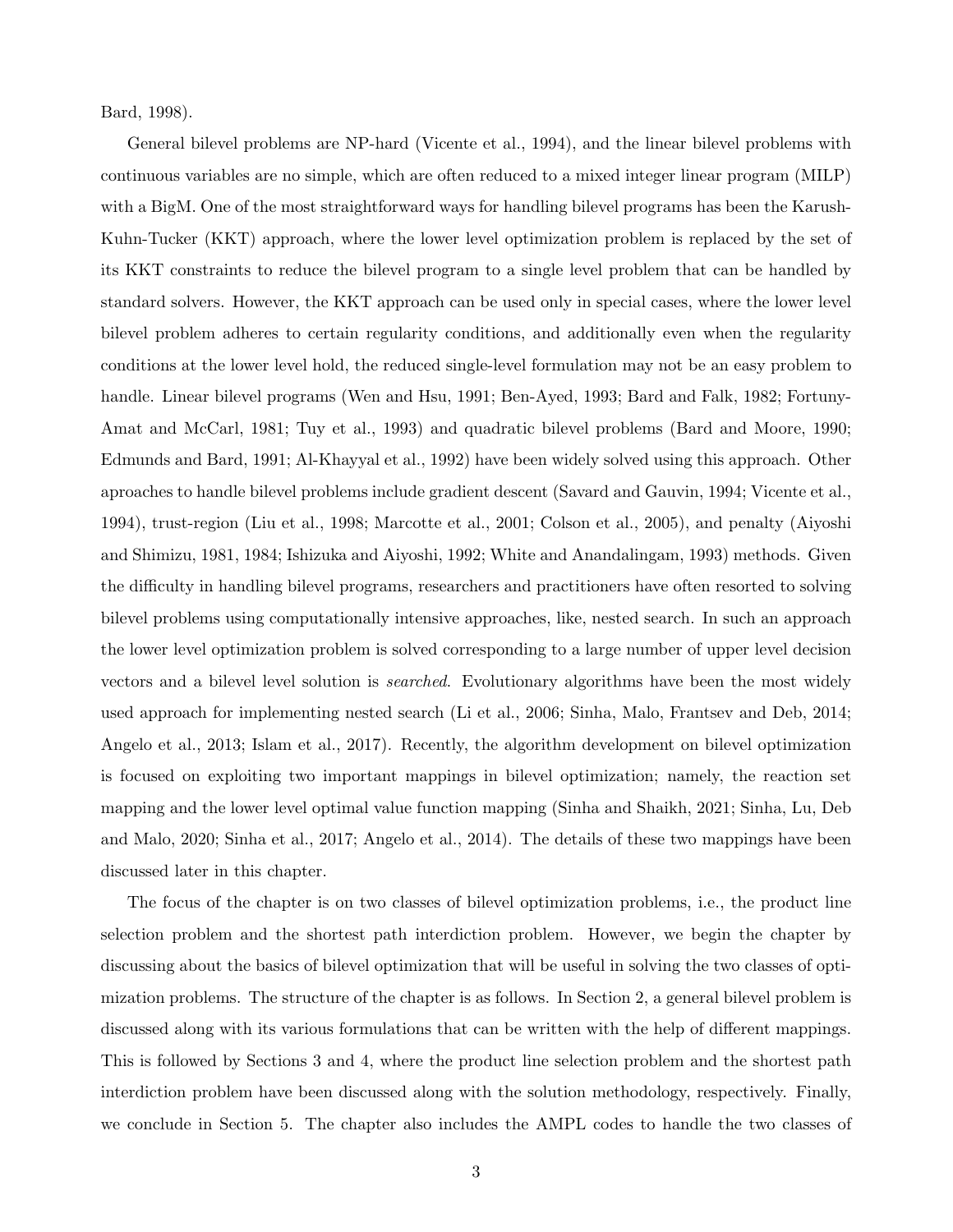Bard, 1998).

General bilevel problems are NP-hard (Vicente et al., 1994), and the linear bilevel problems with continuous variables are no simple, which are often reduced to a mixed integer linear program (MILP) with a BigM. One of the most straightforward ways for handling bilevel programs has been the Karush-Kuhn-Tucker (KKT) approach, where the lower level optimization problem is replaced by the set of its KKT constraints to reduce the bilevel program to a single level problem that can be handled by standard solvers. However, the KKT approach can be used only in special cases, where the lower level bilevel problem adheres to certain regularity conditions, and additionally even when the regularity conditions at the lower level hold, the reduced single-level formulation may not be an easy problem to handle. Linear bilevel programs (Wen and Hsu, 1991; Ben-Ayed, 1993; Bard and Falk, 1982; Fortuny-Amat and McCarl, 1981; Tuy et al., 1993) and quadratic bilevel problems (Bard and Moore, 1990; Edmunds and Bard, 1991; Al-Khayyal et al., 1992) have been widely solved using this approach. Other aproaches to handle bilevel problems include gradient descent (Savard and Gauvin, 1994; Vicente et al., 1994), trust-region (Liu et al., 1998; Marcotte et al., 2001; Colson et al., 2005), and penalty (Aiyoshi and Shimizu, 1981, 1984; Ishizuka and Aiyoshi, 1992; White and Anandalingam, 1993) methods. Given the difficulty in handling bilevel programs, researchers and practitioners have often resorted to solving bilevel problems using computationally intensive approaches, like, nested search. In such an approach the lower level optimization problem is solved corresponding to a large number of upper level decision vectors and a bilevel level solution is searched. Evolutionary algorithms have been the most widely used approach for implementing nested search (Li et al., 2006; Sinha, Malo, Frantsev and Deb, 2014; Angelo et al., 2013; Islam et al., 2017). Recently, the algorithm development on bilevel optimization is focused on exploiting two important mappings in bilevel optimization; namely, the reaction set mapping and the lower level optimal value function mapping (Sinha and Shaikh, 2021; Sinha, Lu, Deb and Malo, 2020; Sinha et al., 2017; Angelo et al., 2014). The details of these two mappings have been discussed later in this chapter.

The focus of the chapter is on two classes of bilevel optimization problems, i.e., the product line selection problem and the shortest path interdiction problem. However, we begin the chapter by discussing about the basics of bilevel optimization that will be useful in solving the two classes of optimization problems. The structure of the chapter is as follows. In Section 2, a general bilevel problem is discussed along with its various formulations that can be written with the help of different mappings. This is followed by Sections 3 and 4, where the product line selection problem and the shortest path interdiction problem have been discussed along with the solution methodology, respectively. Finally, we conclude in Section 5. The chapter also includes the AMPL codes to handle the two classes of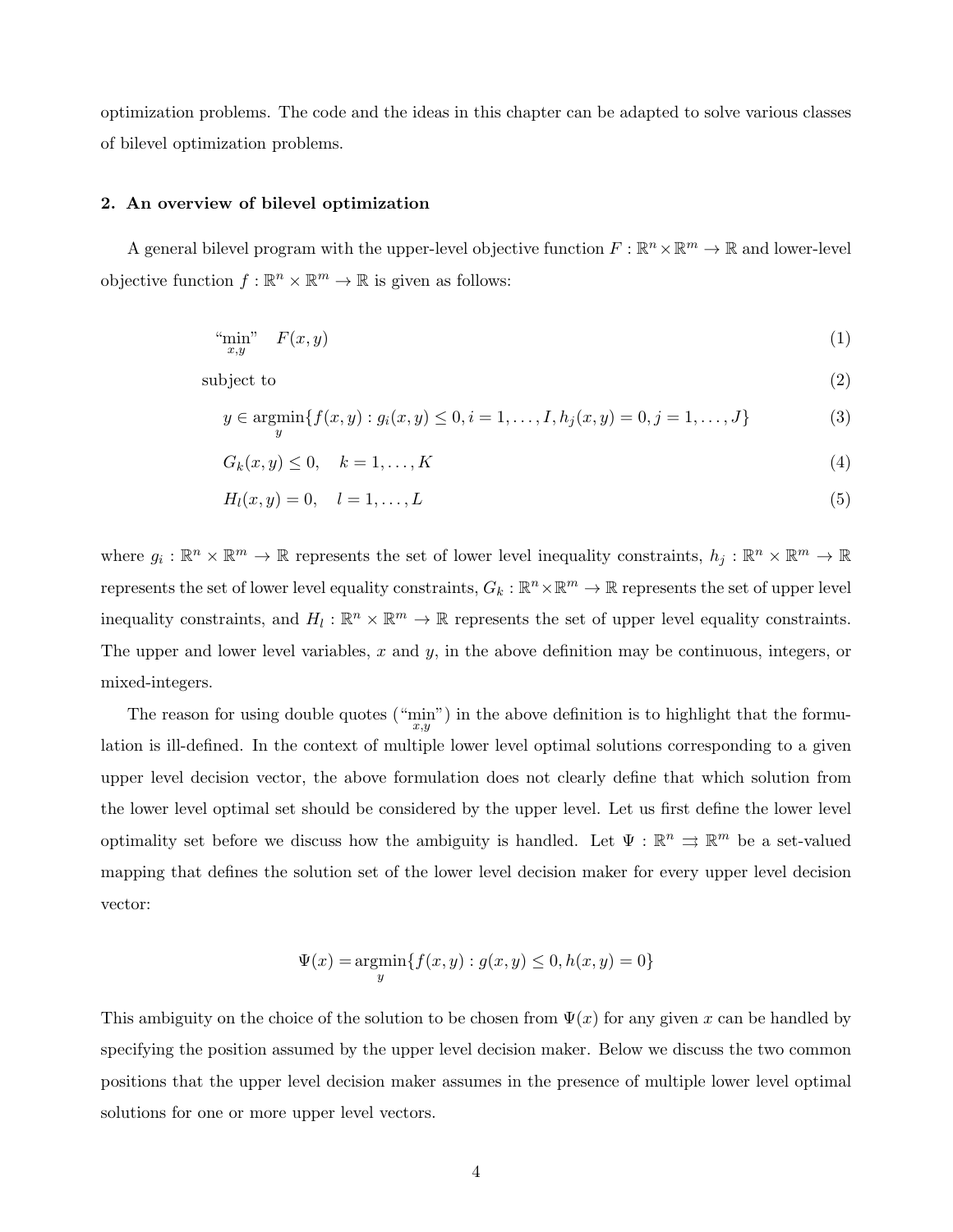optimization problems. The code and the ideas in this chapter can be adapted to solve various classes of bilevel optimization problems.

#### 2. An overview of bilevel optimization

A general bilevel program with the upper-level objective function  $F : \mathbb{R}^n \times \mathbb{R}^m \to \mathbb{R}$  and lower-level objective function  $f : \mathbb{R}^n \times \mathbb{R}^m \to \mathbb{R}$  is given as follows:

$$
\lim_{x,y} \quad F(x,y) \tag{1}
$$

 $\text{subject to} \tag{2}$ 

$$
y \in \operatorname*{argmin}_{y} \{ f(x, y) : g_i(x, y) \le 0, i = 1, \dots, I, h_j(x, y) = 0, j = 1, \dots, J \}
$$
(3)

$$
G_k(x, y) \le 0, \quad k = 1, \dots, K \tag{4}
$$

$$
H_l(x, y) = 0, \quad l = 1, \dots, L \tag{5}
$$

where  $g_i: \mathbb{R}^n \times \mathbb{R}^m \to \mathbb{R}$  represents the set of lower level inequality constraints,  $h_j: \mathbb{R}^n \times \mathbb{R}^m \to \mathbb{R}$ represents the set of lower level equality constraints,  $G_k: \mathbb{R}^n \times \mathbb{R}^m \to \mathbb{R}$  represents the set of upper level inequality constraints, and  $H_l: \mathbb{R}^n \times \mathbb{R}^m \to \mathbb{R}$  represents the set of upper level equality constraints. The upper and lower level variables, x and y, in the above definition may be continuous, integers, or mixed-integers.

The reason for using double quotes  $(\lim_{x,y})$  in the above definition is to highlight that the formulation is ill-defined. In the context of multiple lower level optimal solutions corresponding to a given upper level decision vector, the above formulation does not clearly define that which solution from the lower level optimal set should be considered by the upper level. Let us first define the lower level optimality set before we discuss how the ambiguity is handled. Let  $\Psi : \mathbb{R}^n \implies \mathbb{R}^m$  be a set-valued mapping that defines the solution set of the lower level decision maker for every upper level decision vector:

$$
\Psi(x) = \underset{y}{\text{argmin}} \{ f(x, y) : g(x, y) \le 0, h(x, y) = 0 \}
$$

This ambiguity on the choice of the solution to be chosen from  $\Psi(x)$  for any given x can be handled by specifying the position assumed by the upper level decision maker. Below we discuss the two common positions that the upper level decision maker assumes in the presence of multiple lower level optimal solutions for one or more upper level vectors.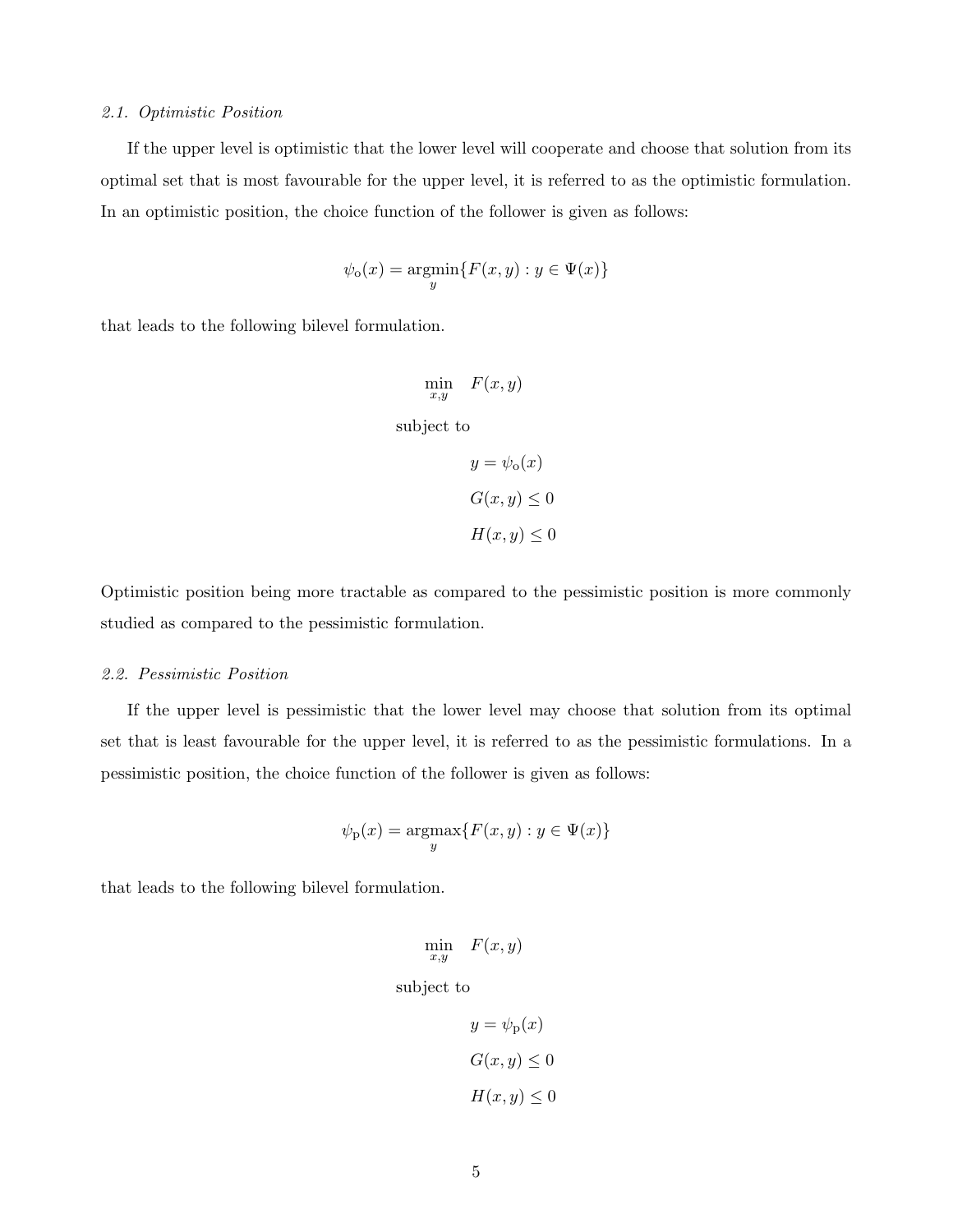#### 2.1. Optimistic Position

If the upper level is optimistic that the lower level will cooperate and choose that solution from its optimal set that is most favourable for the upper level, it is referred to as the optimistic formulation. In an optimistic position, the choice function of the follower is given as follows:

$$
\psi_{\mathsf{o}}(x) = \underset{y}{\operatorname{argmin}} \{ F(x, y) : y \in \Psi(x) \}
$$

that leads to the following bilevel formulation.

$$
\min_{x,y} \quad F(x,y)
$$

subject to

$$
y = \psi_0(x)
$$
  

$$
G(x, y) \le 0
$$
  

$$
H(x, y) \le 0
$$

Optimistic position being more tractable as compared to the pessimistic position is more commonly studied as compared to the pessimistic formulation.

#### 2.2. Pessimistic Position

If the upper level is pessimistic that the lower level may choose that solution from its optimal set that is least favourable for the upper level, it is referred to as the pessimistic formulations. In a pessimistic position, the choice function of the follower is given as follows:

$$
\psi_{\mathbf{p}}(x) = \operatorname*{argmax}_{y} \{ F(x, y) : y \in \Psi(x) \}
$$

that leads to the following bilevel formulation.

$$
\min_{x,y} \quad F(x,y)
$$

subject to

$$
y = \psi_{p}(x)
$$

$$
G(x, y) \le 0
$$

$$
H(x, y) \le 0
$$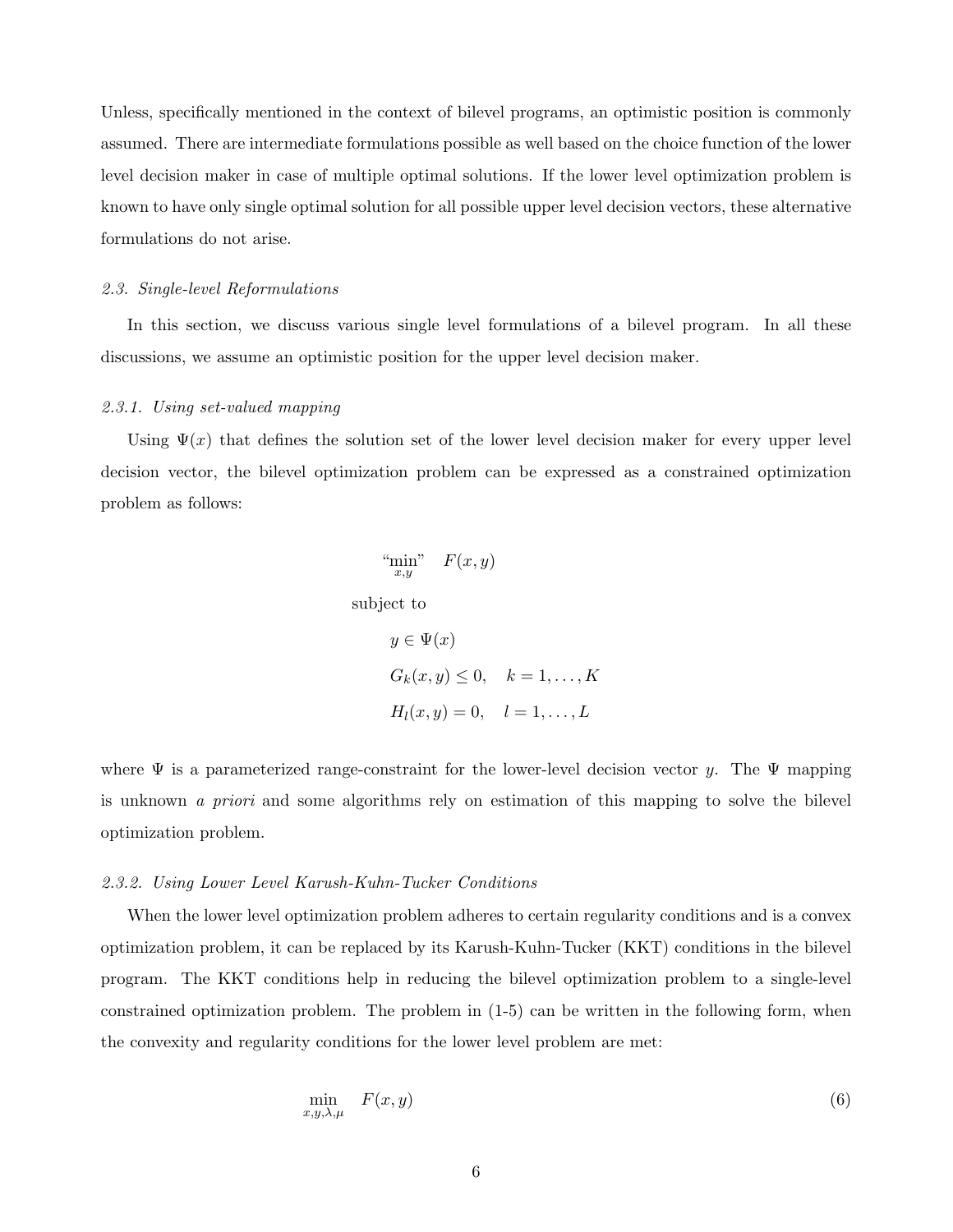Unless, specifically mentioned in the context of bilevel programs, an optimistic position is commonly assumed. There are intermediate formulations possible as well based on the choice function of the lower level decision maker in case of multiple optimal solutions. If the lower level optimization problem is known to have only single optimal solution for all possible upper level decision vectors, these alternative formulations do not arise.

#### 2.3. Single-level Reformulations

In this section, we discuss various single level formulations of a bilevel program. In all these discussions, we assume an optimistic position for the upper level decision maker.

#### 2.3.1. Using set-valued mapping

Using  $\Psi(x)$  that defines the solution set of the lower level decision maker for every upper level decision vector, the bilevel optimization problem can be expressed as a constrained optimization problem as follows:

$$
\lim_{x,y} \quad F(x,y)
$$

subject to

$$
y \in \Psi(x)
$$
  
\n
$$
G_k(x, y) \le 0, \quad k = 1, \dots, K
$$
  
\n
$$
H_l(x, y) = 0, \quad l = 1, \dots, L
$$

where  $\Psi$  is a parameterized range-constraint for the lower-level decision vector y. The  $\Psi$  mapping is unknown a priori and some algorithms rely on estimation of this mapping to solve the bilevel optimization problem.

#### 2.3.2. Using Lower Level Karush-Kuhn-Tucker Conditions

When the lower level optimization problem adheres to certain regularity conditions and is a convex optimization problem, it can be replaced by its Karush-Kuhn-Tucker (KKT) conditions in the bilevel program. The KKT conditions help in reducing the bilevel optimization problem to a single-level constrained optimization problem. The problem in (1-5) can be written in the following form, when the convexity and regularity conditions for the lower level problem are met:

$$
\min_{x,y,\lambda,\mu} F(x,y) \tag{6}
$$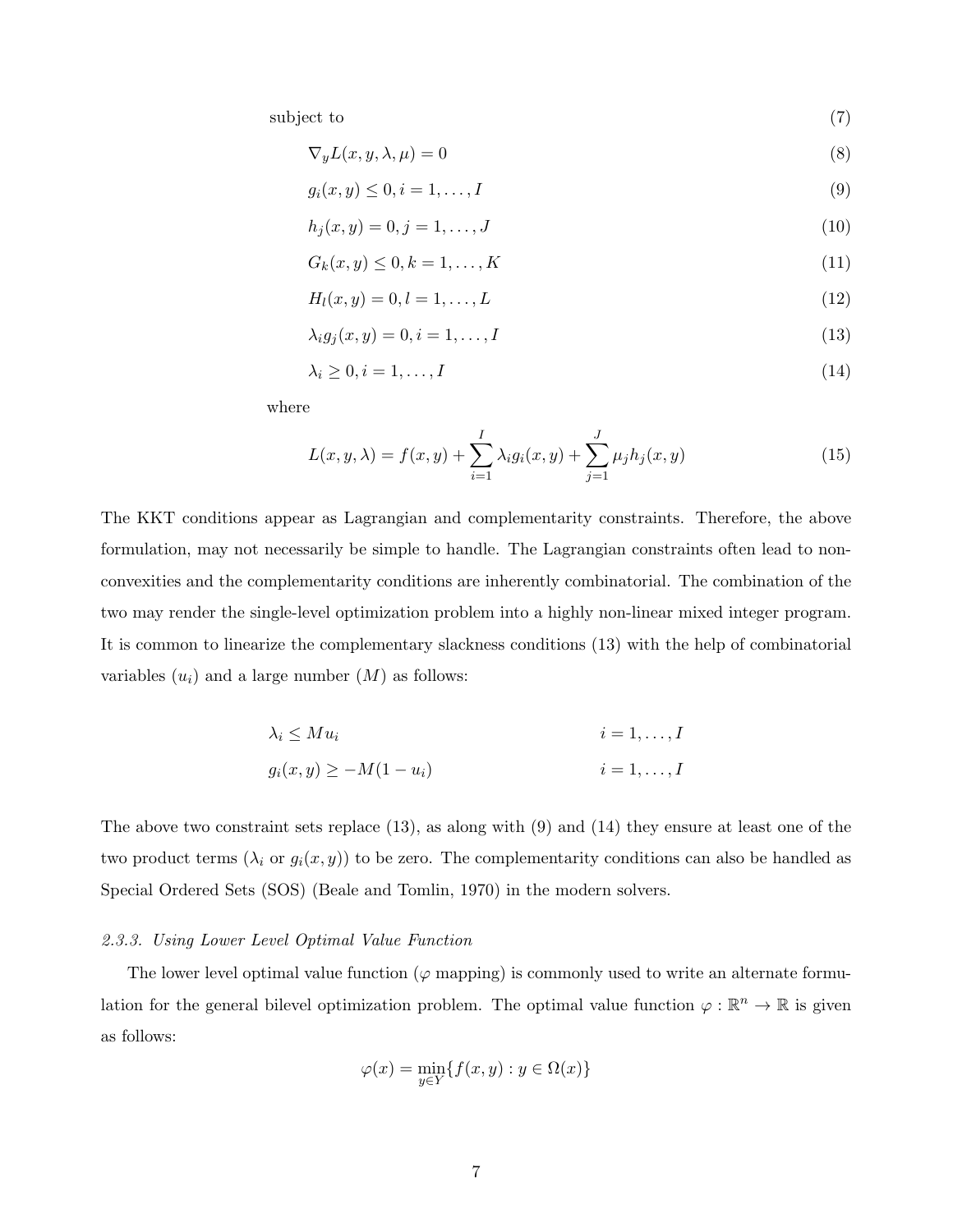subject to  $(7)$ 

$$
\nabla_y L(x, y, \lambda, \mu) = 0 \tag{8}
$$

$$
g_i(x, y) \le 0, i = 1, \dots, I \tag{9}
$$

$$
h_j(x, y) = 0, j = 1, \dots, J
$$
\n(10)

$$
G_k(x, y) \le 0, k = 1, \dots, K \tag{11}
$$

$$
H_l(x, y) = 0, l = 1, \dots, L
$$
\n(12)

$$
\lambda_i g_j(x, y) = 0, i = 1, \dots, I \tag{13}
$$

$$
\lambda_i \ge 0, i = 1, \dots, I \tag{14}
$$

where

$$
L(x, y, \lambda) = f(x, y) + \sum_{i=1}^{I} \lambda_i g_i(x, y) + \sum_{j=1}^{J} \mu_j h_j(x, y)
$$
\n(15)

The KKT conditions appear as Lagrangian and complementarity constraints. Therefore, the above formulation, may not necessarily be simple to handle. The Lagrangian constraints often lead to nonconvexities and the complementarity conditions are inherently combinatorial. The combination of the two may render the single-level optimization problem into a highly non-linear mixed integer program. It is common to linearize the complementary slackness conditions (13) with the help of combinatorial variables  $(u_i)$  and a large number  $(M)$  as follows:

$$
\lambda_i \leq Mu_i
$$
  
\n
$$
i = 1, ..., I
$$
  
\n
$$
g_i(x, y) \geq -M(1 - u_i)
$$
  
\n
$$
i = 1, ..., I
$$
  
\n
$$
i = 1, ..., I
$$

The above two constraint sets replace (13), as along with (9) and (14) they ensure at least one of the two product terms  $(\lambda_i \text{ or } g_i(x, y))$  to be zero. The complementarity conditions can also be handled as Special Ordered Sets (SOS) (Beale and Tomlin, 1970) in the modern solvers.

#### 2.3.3. Using Lower Level Optimal Value Function

The lower level optimal value function ( $\varphi$  mapping) is commonly used to write an alternate formulation for the general bilevel optimization problem. The optimal value function  $\varphi : \mathbb{R}^n \to \mathbb{R}$  is given as follows:

$$
\varphi(x) = \min_{y \in Y} \{ f(x, y) : y \in \Omega(x) \}
$$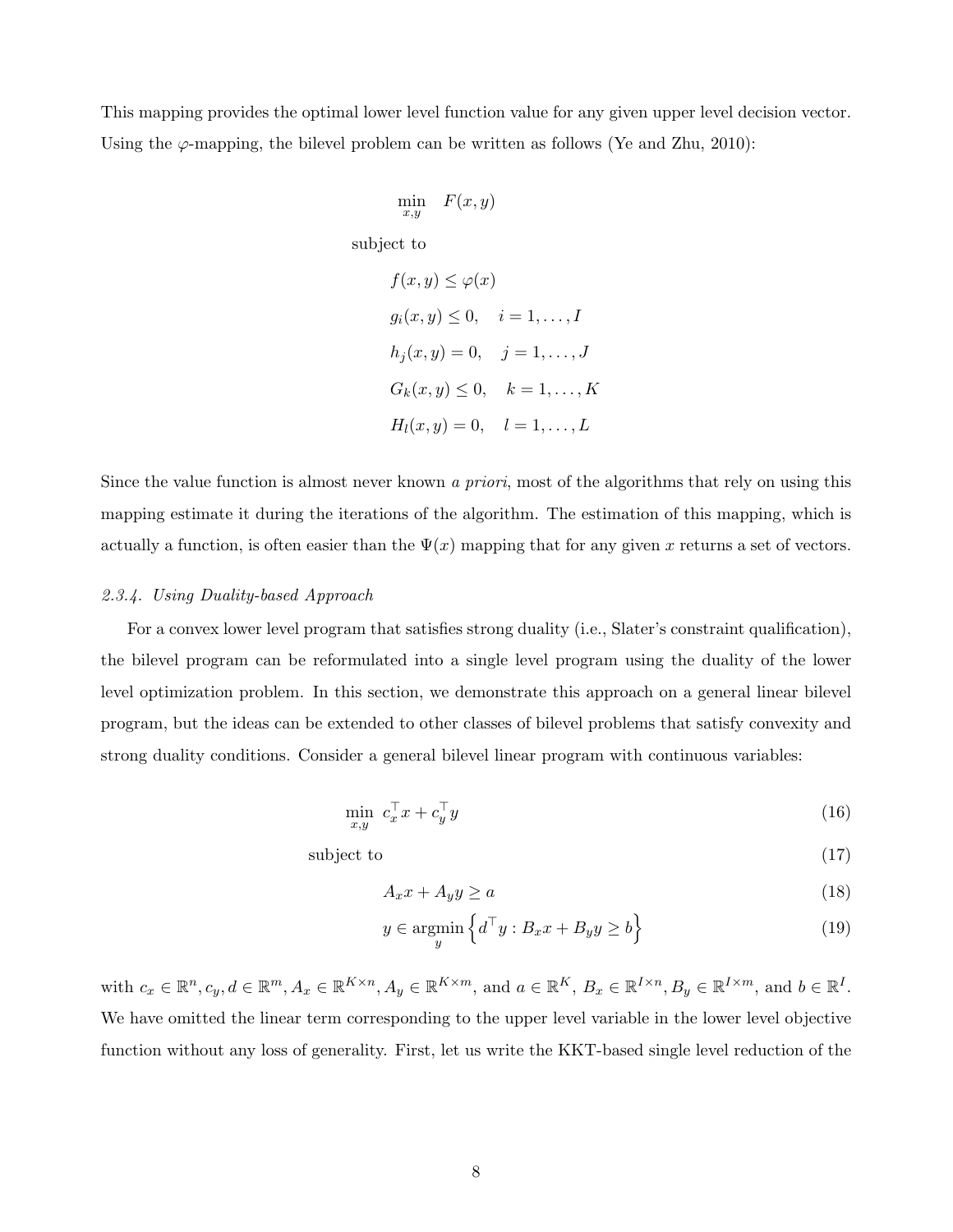This mapping provides the optimal lower level function value for any given upper level decision vector. Using the  $\varphi$ -mapping, the bilevel problem can be written as follows (Ye and Zhu, 2010):

$$
\min_{x,y} \quad F(x,y)
$$

subject to

 $f(x, y) \leq \varphi(x)$  $g_i(x, y) \leq 0, \quad i = 1, \dots, I$  $h_i(x, y) = 0, \quad j = 1, \dots, J$  $G_k(x, y) \leq 0, \quad k = 1, \dots, K$  $H_l(x, y) = 0, \quad l = 1, \ldots, L$ 

Since the value function is almost never known a priori, most of the algorithms that rely on using this mapping estimate it during the iterations of the algorithm. The estimation of this mapping, which is actually a function, is often easier than the  $\Psi(x)$  mapping that for any given x returns a set of vectors.

#### 2.3.4. Using Duality-based Approach

For a convex lower level program that satisfies strong duality (i.e., Slater's constraint qualification), the bilevel program can be reformulated into a single level program using the duality of the lower level optimization problem. In this section, we demonstrate this approach on a general linear bilevel program, but the ideas can be extended to other classes of bilevel problems that satisfy convexity and strong duality conditions. Consider a general bilevel linear program with continuous variables:

$$
\min_{x,y} \ c_x^\top x + c_y^\top y \tag{16}
$$

subject to  $(17)$ 

$$
A_x x + A_y y \ge a \tag{18}
$$

$$
y \in \operatorname*{argmin}_{y} \left\{ d^{\top} y : B_x x + B_y y \ge b \right\}
$$
 (19)

with  $c_x \in \mathbb{R}^n, c_y, d \in \mathbb{R}^m, A_x \in \mathbb{R}^{K \times n}, A_y \in \mathbb{R}^{K \times m}$ , and  $a \in \mathbb{R}^K, B_x \in \mathbb{R}^{I \times n}, B_y \in \mathbb{R}^{I \times m}$ , and  $b \in \mathbb{R}^I$ . We have omitted the linear term corresponding to the upper level variable in the lower level objective function without any loss of generality. First, let us write the KKT-based single level reduction of the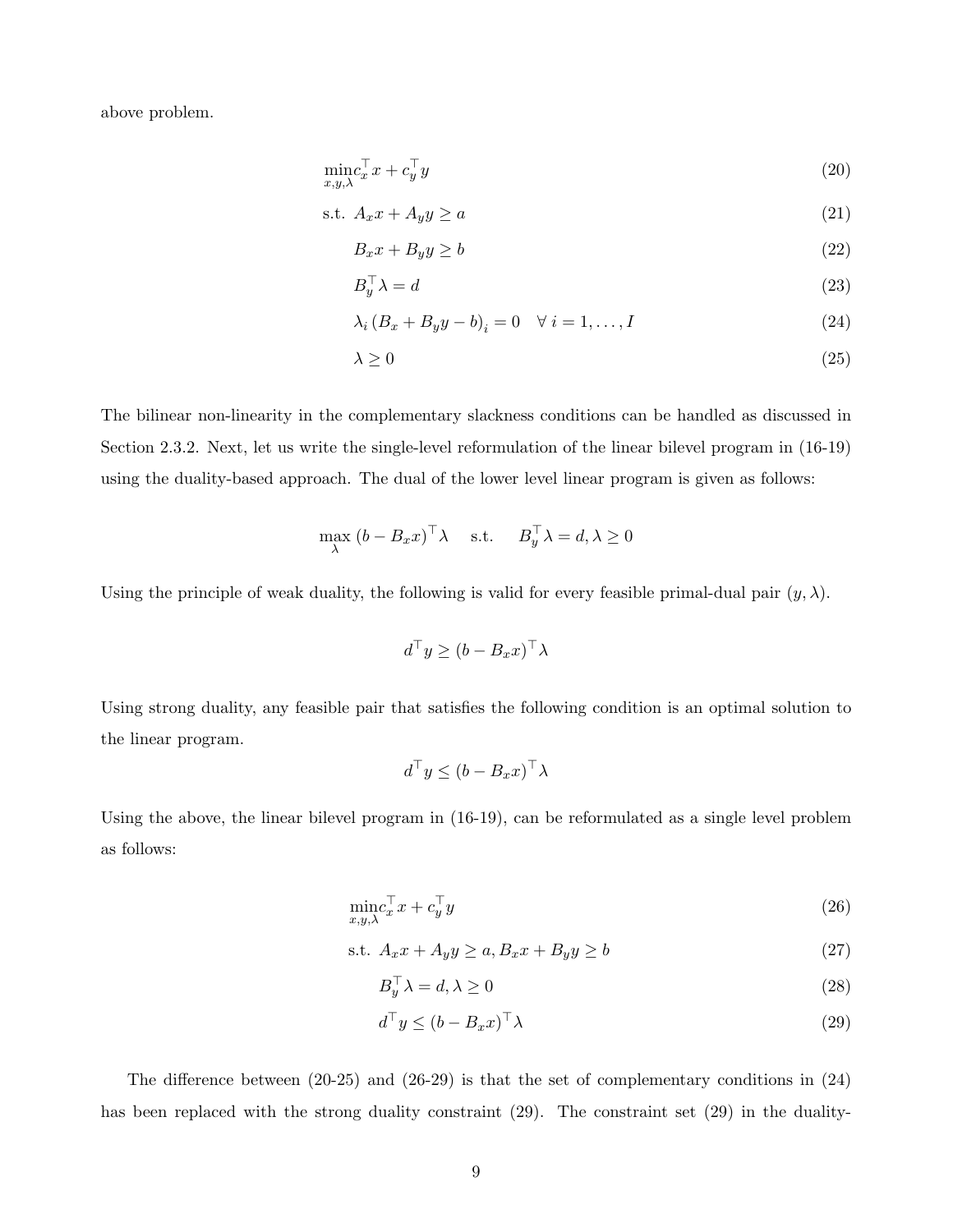above problem.

$$
\min_{x,y,\lambda} c_x^\top x + c_y^\top y \tag{20}
$$

$$
s.t. \ A_x x + A_y y \ge a \tag{21}
$$

$$
B_x x + B_y y \ge b \tag{22}
$$

$$
B_y^\top \lambda = d \tag{23}
$$

$$
\lambda_i (B_x + B_y y - b)_i = 0 \quad \forall \ i = 1, ..., I \tag{24}
$$

$$
\lambda \ge 0 \tag{25}
$$

The bilinear non-linearity in the complementary slackness conditions can be handled as discussed in Section 2.3.2. Next, let us write the single-level reformulation of the linear bilevel program in (16-19) using the duality-based approach. The dual of the lower level linear program is given as follows:

$$
\max_{\lambda} (b - B_x x)^{\top} \lambda \quad \text{s.t.} \quad B_y^{\top} \lambda = d, \lambda \ge 0
$$

Using the principle of weak duality, the following is valid for every feasible primal-dual pair  $(y, \lambda)$ .

$$
d^{\top}y \ge (b - B_x x)^{\top} \lambda
$$

Using strong duality, any feasible pair that satisfies the following condition is an optimal solution to the linear program.

$$
d^{\top}y \le (b - B_x x)^{\top} \lambda
$$

Using the above, the linear bilevel program in (16-19), can be reformulated as a single level problem as follows:

$$
\min_{x,y,\lambda} c_x^\top x + c_y^\top y \tag{26}
$$

$$
\text{s.t. } A_x x + A_y y \ge a, B_x x + B_y y \ge b \tag{27}
$$

$$
B_y^\top \lambda = d, \lambda \ge 0 \tag{28}
$$

$$
d^{\top} y \le (b - B_x x)^{\top} \lambda \tag{29}
$$

The difference between (20-25) and (26-29) is that the set of complementary conditions in (24) has been replaced with the strong duality constraint (29). The constraint set (29) in the duality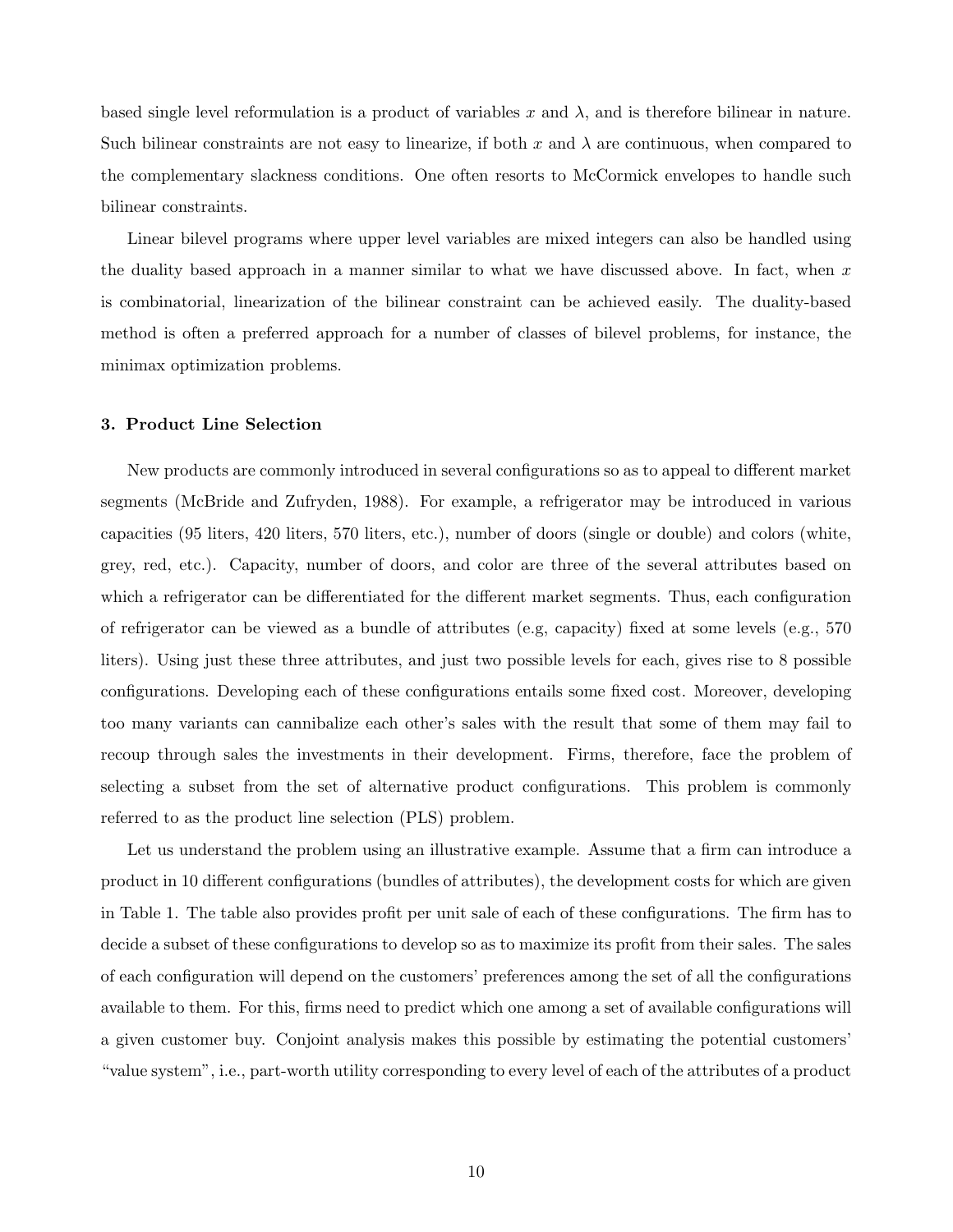based single level reformulation is a product of variables x and  $\lambda$ , and is therefore bilinear in nature. Such bilinear constraints are not easy to linearize, if both x and  $\lambda$  are continuous, when compared to the complementary slackness conditions. One often resorts to McCormick envelopes to handle such bilinear constraints.

Linear bilevel programs where upper level variables are mixed integers can also be handled using the duality based approach in a manner similar to what we have discussed above. In fact, when  $x$ is combinatorial, linearization of the bilinear constraint can be achieved easily. The duality-based method is often a preferred approach for a number of classes of bilevel problems, for instance, the minimax optimization problems.

#### 3. Product Line Selection

New products are commonly introduced in several configurations so as to appeal to different market segments (McBride and Zufryden, 1988). For example, a refrigerator may be introduced in various capacities (95 liters, 420 liters, 570 liters, etc.), number of doors (single or double) and colors (white, grey, red, etc.). Capacity, number of doors, and color are three of the several attributes based on which a refrigerator can be differentiated for the different market segments. Thus, each configuration of refrigerator can be viewed as a bundle of attributes (e.g, capacity) fixed at some levels (e.g., 570 liters). Using just these three attributes, and just two possible levels for each, gives rise to 8 possible configurations. Developing each of these configurations entails some fixed cost. Moreover, developing too many variants can cannibalize each other's sales with the result that some of them may fail to recoup through sales the investments in their development. Firms, therefore, face the problem of selecting a subset from the set of alternative product configurations. This problem is commonly referred to as the product line selection (PLS) problem.

Let us understand the problem using an illustrative example. Assume that a firm can introduce a product in 10 different configurations (bundles of attributes), the development costs for which are given in Table 1. The table also provides profit per unit sale of each of these configurations. The firm has to decide a subset of these configurations to develop so as to maximize its profit from their sales. The sales of each configuration will depend on the customers' preferences among the set of all the configurations available to them. For this, firms need to predict which one among a set of available configurations will a given customer buy. Conjoint analysis makes this possible by estimating the potential customers' "value system", i.e., part-worth utility corresponding to every level of each of the attributes of a product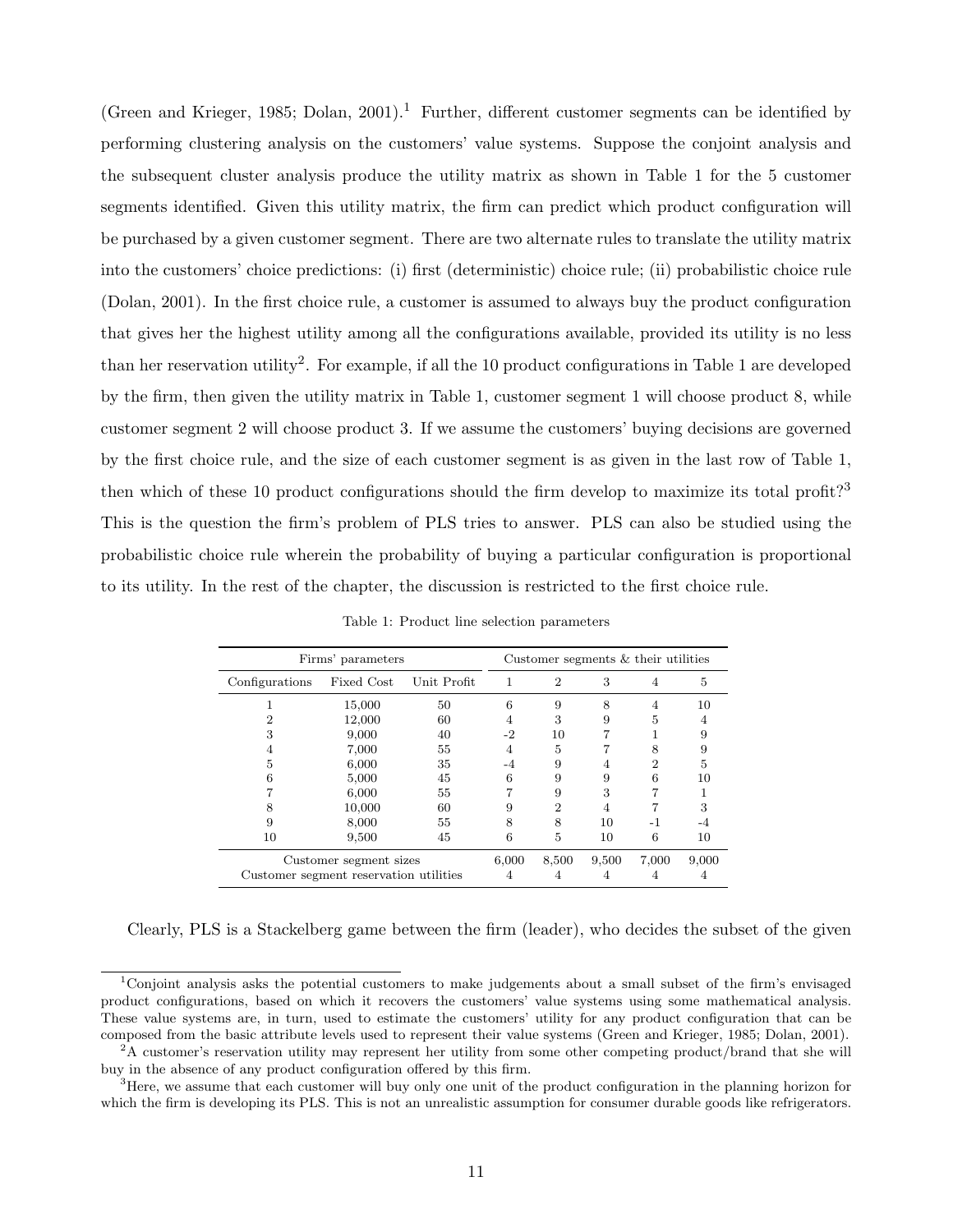(Green and Krieger, 1985; Dolan, 2001).<sup>1</sup> Further, different customer segments can be identified by performing clustering analysis on the customers' value systems. Suppose the conjoint analysis and the subsequent cluster analysis produce the utility matrix as shown in Table 1 for the 5 customer segments identified. Given this utility matrix, the firm can predict which product configuration will be purchased by a given customer segment. There are two alternate rules to translate the utility matrix into the customers' choice predictions: (i) first (deterministic) choice rule; (ii) probabilistic choice rule (Dolan, 2001). In the first choice rule, a customer is assumed to always buy the product configuration that gives her the highest utility among all the configurations available, provided its utility is no less than her reservation utility<sup>2</sup>. For example, if all the 10 product configurations in Table 1 are developed by the firm, then given the utility matrix in Table 1, customer segment 1 will choose product 8, while customer segment 2 will choose product 3. If we assume the customers' buying decisions are governed by the first choice rule, and the size of each customer segment is as given in the last row of Table 1, then which of these 10 product configurations should the firm develop to maximize its total profit?<sup>3</sup> This is the question the firm's problem of PLS tries to answer. PLS can also be studied using the probabilistic choice rule wherein the probability of buying a particular configuration is proportional to its utility. In the rest of the chapter, the discussion is restricted to the first choice rule.

| Firms' parameters |                                        |             | Customer segments $&$ their utilities |                |       |       |       |
|-------------------|----------------------------------------|-------------|---------------------------------------|----------------|-------|-------|-------|
| Configurations    | Fixed Cost                             | Unit Profit | 1                                     | $\overline{2}$ | 3     | 4     | 5     |
|                   | 15,000                                 | 50          | 6                                     | 9              | 8     | 4     | 10    |
|                   | 12,000                                 | 60          | 4                                     | 3              | 9     | 5     |       |
|                   | 9,000                                  | 40          | -2                                    | 10             |       |       |       |
|                   | 7,000                                  | 55          |                                       | 5              |       | 8     |       |
| 5                 | 6,000                                  | 35          | -4                                    | 9              |       | 2     | 5     |
|                   | 5,000                                  | 45          | 6                                     | 9              | 9     | 6     | 10    |
|                   | 6,000                                  | 55          |                                       | 9              | 3     |       |       |
| 8                 | 10,000                                 | 60          | 9                                     | $\overline{2}$ |       |       | 3     |
| 9                 | 8,000                                  | 55          | 8                                     | 8              | 10    | $-1$  |       |
| 10                | 9,500                                  | 45          | 6                                     | 5              | 10    | 6     | 10    |
|                   | Customer segment sizes                 |             | 6,000                                 | 8,500          | 9,500 | 7,000 | 9,000 |
|                   | Customer segment reservation utilities |             |                                       |                |       |       |       |

Table 1: Product line selection parameters

Clearly, PLS is a Stackelberg game between the firm (leader), who decides the subset of the given

<sup>1</sup>Conjoint analysis asks the potential customers to make judgements about a small subset of the firm's envisaged product configurations, based on which it recovers the customers' value systems using some mathematical analysis. These value systems are, in turn, used to estimate the customers' utility for any product configuration that can be composed from the basic attribute levels used to represent their value systems (Green and Krieger, 1985; Dolan, 2001).

<sup>&</sup>lt;sup>2</sup>A customer's reservation utility may represent her utility from some other competing product/brand that she will buy in the absence of any product configuration offered by this firm.

<sup>&</sup>lt;sup>3</sup>Here, we assume that each customer will buy only one unit of the product configuration in the planning horizon for which the firm is developing its PLS. This is not an unrealistic assumption for consumer durable goods like refrigerators.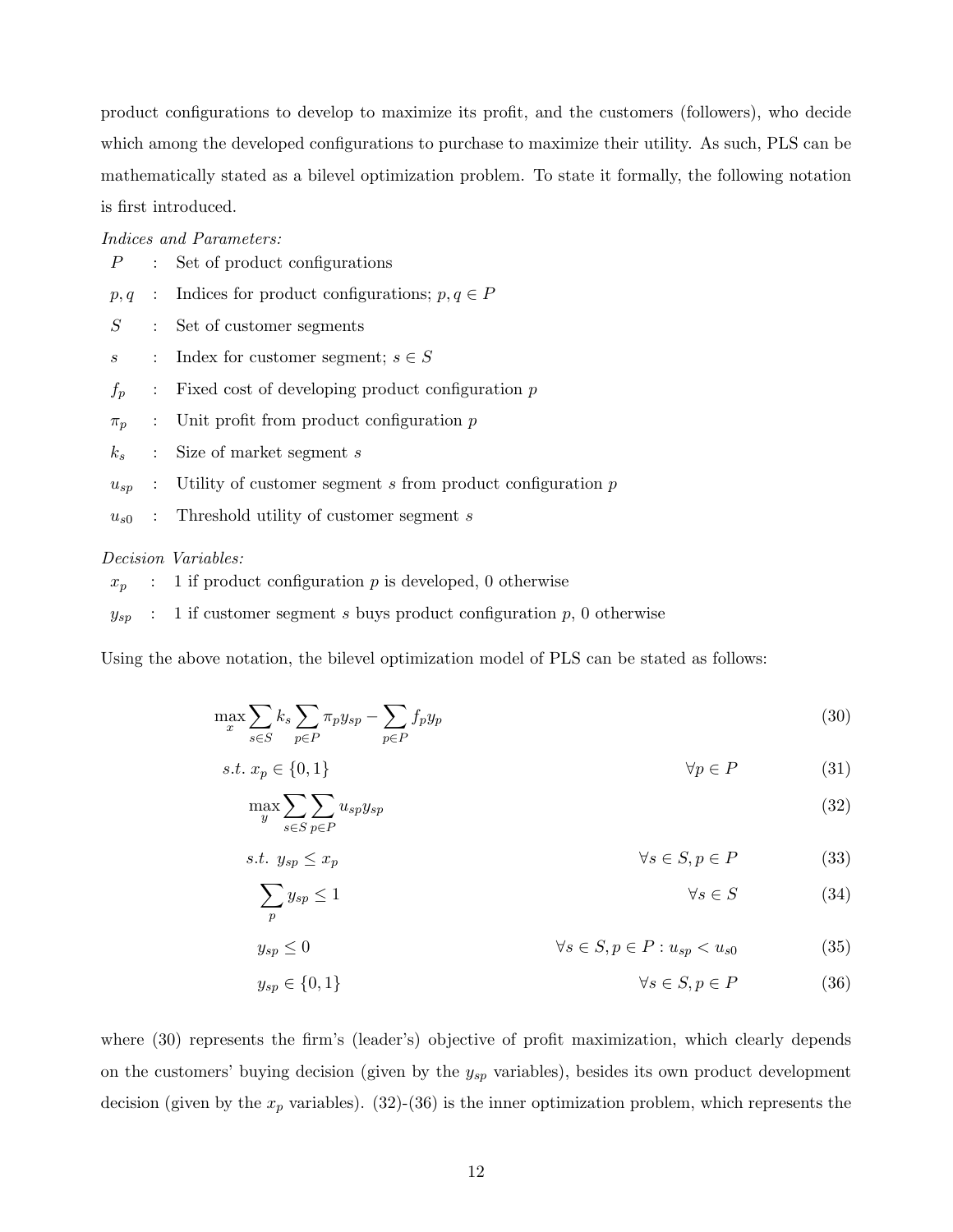product configurations to develop to maximize its profit, and the customers (followers), who decide which among the developed configurations to purchase to maximize their utility. As such, PLS can be mathematically stated as a bilevel optimization problem. To state it formally, the following notation is first introduced.

Indices and Parameters:

|                  | : Set of product configurations                                       |
|------------------|-----------------------------------------------------------------------|
|                  | $p, q$ : Indices for product configurations; $p, q \in P$             |
| $S_{-}$          | : Set of customer segments                                            |
| $\boldsymbol{s}$ | : Index for customer segment; $s \in S$                               |
| $f_p$            | $\therefore$ Fixed cost of developing product configuration p         |
|                  | $\pi_p$ : Unit profit from product configuration p                    |
|                  | $k_s$ : Size of market segment s                                      |
|                  | $u_{sp}$ : Utility of customer segment s from product configuration p |
|                  |                                                                       |

 $u_{s0}$  : Threshold utility of customer segment s

#### Decision Variables:

 $x_p$  : 1 if product configuration p is developed, 0 otherwise

 $y_{sp}$  : 1 if customer segment s buys product configuration p, 0 otherwise

Using the above notation, the bilevel optimization model of PLS can be stated as follows:

$$
\max_{x} \sum_{s \in S} k_s \sum_{p \in P} \pi_p y_{sp} - \sum_{p \in P} f_p y_p \tag{30}
$$

$$
s.t. x_p \in \{0, 1\} \qquad \qquad \forall p \in P \tag{31}
$$

$$
\max_{y} \sum_{s \in S} \sum_{p \in P} u_{sp} y_{sp} \tag{32}
$$

$$
s.t. \ y_{sp} \le x_p \qquad \qquad \forall s \in S, p \in P \tag{33}
$$

$$
\sum_{p} y_{sp} \le 1 \tag{34}
$$

$$
y_{sp} \le 0 \qquad \qquad \forall s \in S, p \in P : u_{sp} < u_{s0} \tag{35}
$$

$$
y_{sp} \in \{0, 1\} \qquad \qquad \forall s \in S, p \in P \tag{36}
$$

where  $(30)$  represents the firm's (leader's) objective of profit maximization, which clearly depends on the customers' buying decision (given by the  $y_{sp}$  variables), besides its own product development decision (given by the  $x_p$  variables). (32)-(36) is the inner optimization problem, which represents the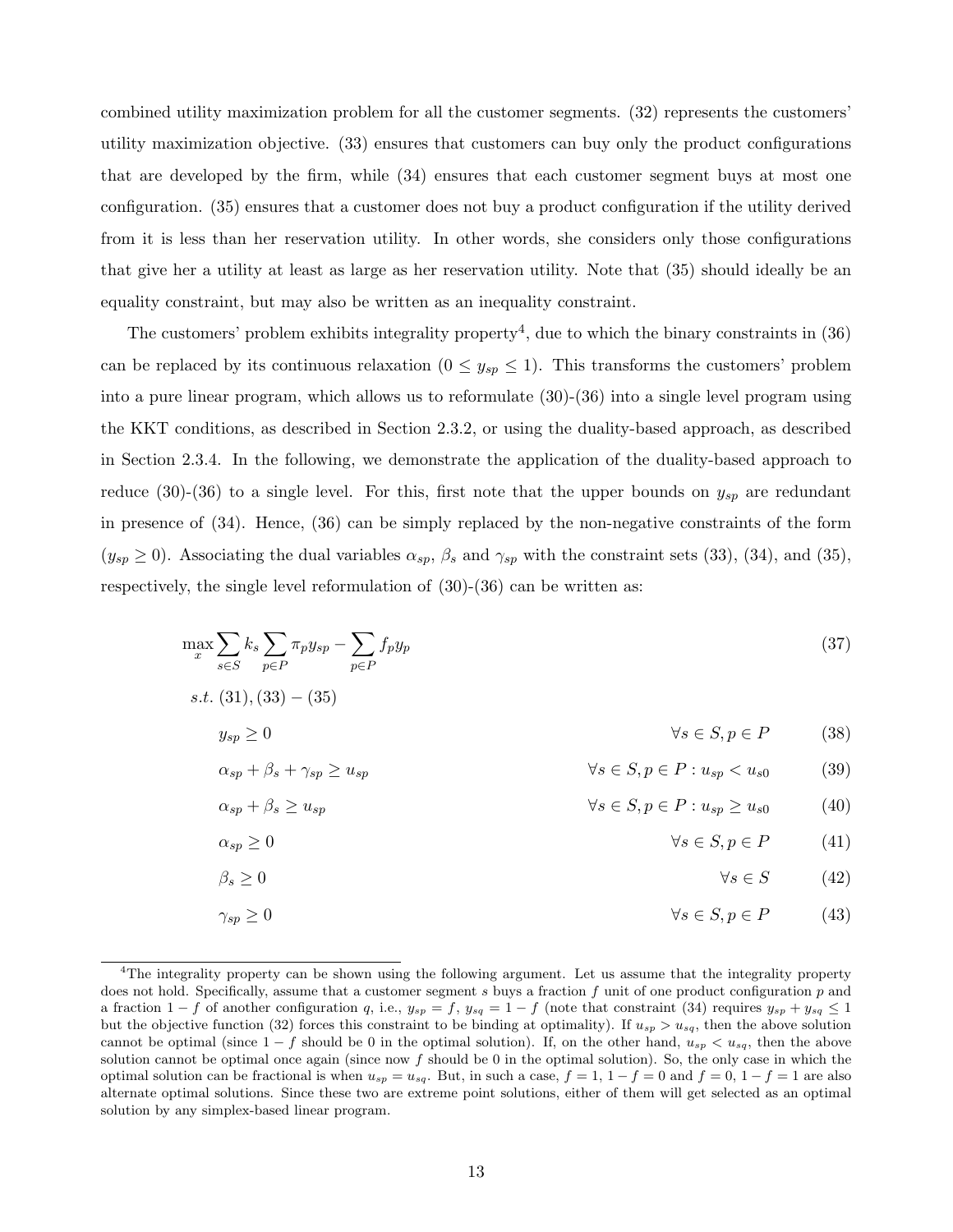combined utility maximization problem for all the customer segments. (32) represents the customers' utility maximization objective. (33) ensures that customers can buy only the product configurations that are developed by the firm, while (34) ensures that each customer segment buys at most one configuration. (35) ensures that a customer does not buy a product configuration if the utility derived from it is less than her reservation utility. In other words, she considers only those configurations that give her a utility at least as large as her reservation utility. Note that (35) should ideally be an equality constraint, but may also be written as an inequality constraint.

The customers' problem exhibits integrality property<sup>4</sup>, due to which the binary constraints in  $(36)$ can be replaced by its continuous relaxation  $(0 \le y_{sp} \le 1)$ . This transforms the customers' problem into a pure linear program, which allows us to reformulate (30)-(36) into a single level program using the KKT conditions, as described in Section 2.3.2, or using the duality-based approach, as described in Section 2.3.4. In the following, we demonstrate the application of the duality-based approach to reduce (30)-(36) to a single level. For this, first note that the upper bounds on  $y_{sp}$  are redundant in presence of (34). Hence, (36) can be simply replaced by the non-negative constraints of the form  $(y_{sp} \ge 0)$ . Associating the dual variables  $\alpha_{sp}$ ,  $\beta_s$  and  $\gamma_{sp}$  with the constraint sets (33), (34), and (35), respectively, the single level reformulation of  $(30)-(36)$  can be written as:

$$
\max_{x} \sum_{s \in S} k_s \sum_{p \in P} \pi_p y_{sp} - \sum_{p \in P} f_p y_p \tag{37}
$$

$$
s.t. (31), (33) - (35)
$$

$$
y_{sp} \ge 0 \qquad \qquad \forall s \in S, p \in P \tag{38}
$$

$$
\alpha_{sp} + \beta_s + \gamma_{sp} \ge u_{sp} \qquad \qquad \forall s \in S, p \in P : u_{sp} < u_{s0} \tag{39}
$$

$$
\alpha_{sp} + \beta_s \ge u_{sp} \qquad \qquad \forall s \in S, p \in P : u_{sp} \ge u_{s0} \qquad (40)
$$

$$
\alpha_{sp} \ge 0 \qquad \qquad \forall s \in S, p \in P \qquad (41)
$$

$$
\beta_s \ge 0 \qquad \qquad \forall s \in S \qquad (42)
$$

$$
\gamma_{sp} \ge 0 \qquad \qquad \forall s \in S, p \in P \qquad (43)
$$

<sup>&</sup>lt;sup>4</sup>The integrality property can be shown using the following argument. Let us assume that the integrality property does not hold. Specifically, assume that a customer segment s buys a fraction f unit of one product configuration p and a fraction  $1 - f$  of another configuration q, i.e.,  $y_{sp} = f$ ,  $y_{sq} = 1 - f$  (note that constraint (34) requires  $y_{sp} + y_{sq} \le 1$ but the objective function (32) forces this constraint to be binding at optimality). If  $u_{sp} > u_{sq}$ , then the above solution cannot be optimal (since  $1-f$  should be 0 in the optimal solution). If, on the other hand,  $u_{sp} < u_{sq}$ , then the above solution cannot be optimal once again (since now  $f$  should be 0 in the optimal solution). So, the only case in which the optimal solution can be fractional is when  $u_{sp} = u_{sq}$ . But, in such a case,  $f = 1, 1 - f = 0$  and  $f = 0, 1 - f = 1$  are also alternate optimal solutions. Since these two are extreme point solutions, either of them will get selected as an optimal solution by any simplex-based linear program.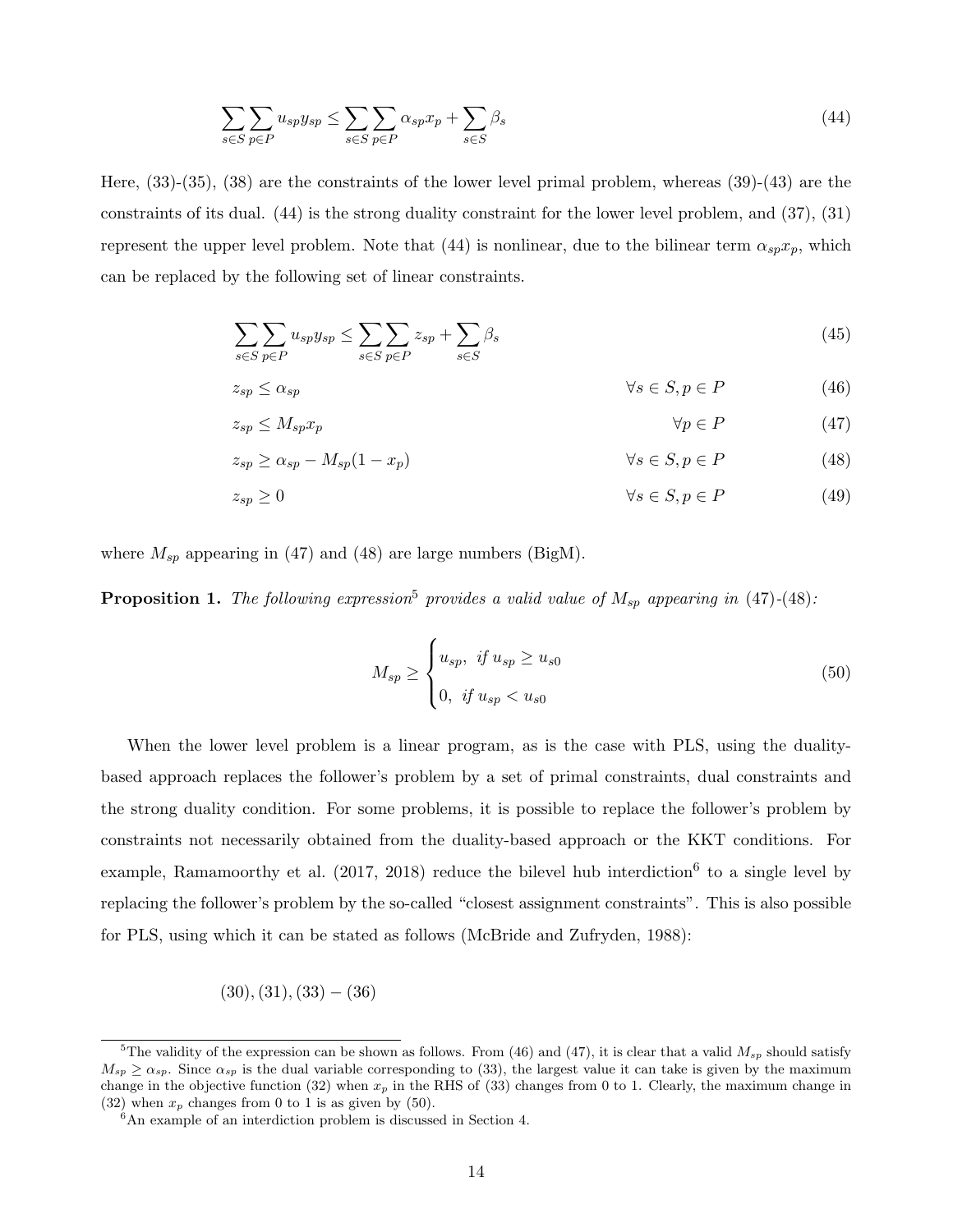$$
\sum_{s \in S} \sum_{p \in P} u_{sp} y_{sp} \le \sum_{s \in S} \sum_{p \in P} \alpha_{sp} x_p + \sum_{s \in S} \beta_s \tag{44}
$$

Here, (33)-(35), (38) are the constraints of the lower level primal problem, whereas (39)-(43) are the constraints of its dual. (44) is the strong duality constraint for the lower level problem, and (37), (31) represent the upper level problem. Note that (44) is nonlinear, due to the bilinear term  $\alpha_{sp}x_p$ , which can be replaced by the following set of linear constraints.

$$
\sum_{s \in S} \sum_{p \in P} u_{sp} y_{sp} \le \sum_{s \in S} \sum_{p \in P} z_{sp} + \sum_{s \in S} \beta_s \tag{45}
$$

$$
z_{sp} \le \alpha_{sp} \qquad \qquad \forall s \in S, p \in P \tag{46}
$$

$$
z_{sp} \le M_{sp} x_p \qquad \qquad \forall p \in P \tag{47}
$$

$$
z_{sp} \ge \alpha_{sp} - M_{sp}(1 - x_p) \qquad \qquad \forall s \in S, p \in P \tag{48}
$$

$$
z_{sp} \ge 0 \qquad \qquad \forall s \in S, p \in P \tag{49}
$$

where  $M_{sp}$  appearing in (47) and (48) are large numbers (BigM).

**Proposition 1.** The following expression<sup>5</sup> provides a valid value of  $M_{sp}$  appearing in (47)-(48):

$$
M_{sp} \ge \begin{cases} u_{sp}, & \text{if } u_{sp} \ge u_{s0} \\ 0, & \text{if } u_{sp} < u_{s0} \end{cases} \tag{50}
$$

When the lower level problem is a linear program, as is the case with PLS, using the dualitybased approach replaces the follower's problem by a set of primal constraints, dual constraints and the strong duality condition. For some problems, it is possible to replace the follower's problem by constraints not necessarily obtained from the duality-based approach or the KKT conditions. For example, Ramamoorthy et al.  $(2017, 2018)$  reduce the bilevel hub interdiction<sup>6</sup> to a single level by replacing the follower's problem by the so-called "closest assignment constraints". This is also possible for PLS, using which it can be stated as follows (McBride and Zufryden, 1988):

$$
(30), (31), (33) - (36)
$$

<sup>&</sup>lt;sup>5</sup>The validity of the expression can be shown as follows. From (46) and (47), it is clear that a valid  $M_{sp}$  should satisfy  $M_{sp} \ge \alpha_{sp}$ . Since  $\alpha_{sp}$  is the dual variable corresponding to (33), the largest value it can take is given by the maximum change in the objective function  $(32)$  when  $x_p$  in the RHS of  $(33)$  changes from 0 to 1. Clearly, the maximum change in (32) when  $x_p$  changes from 0 to 1 is as given by (50).

 $6$ An example of an interdiction problem is discussed in Section 4.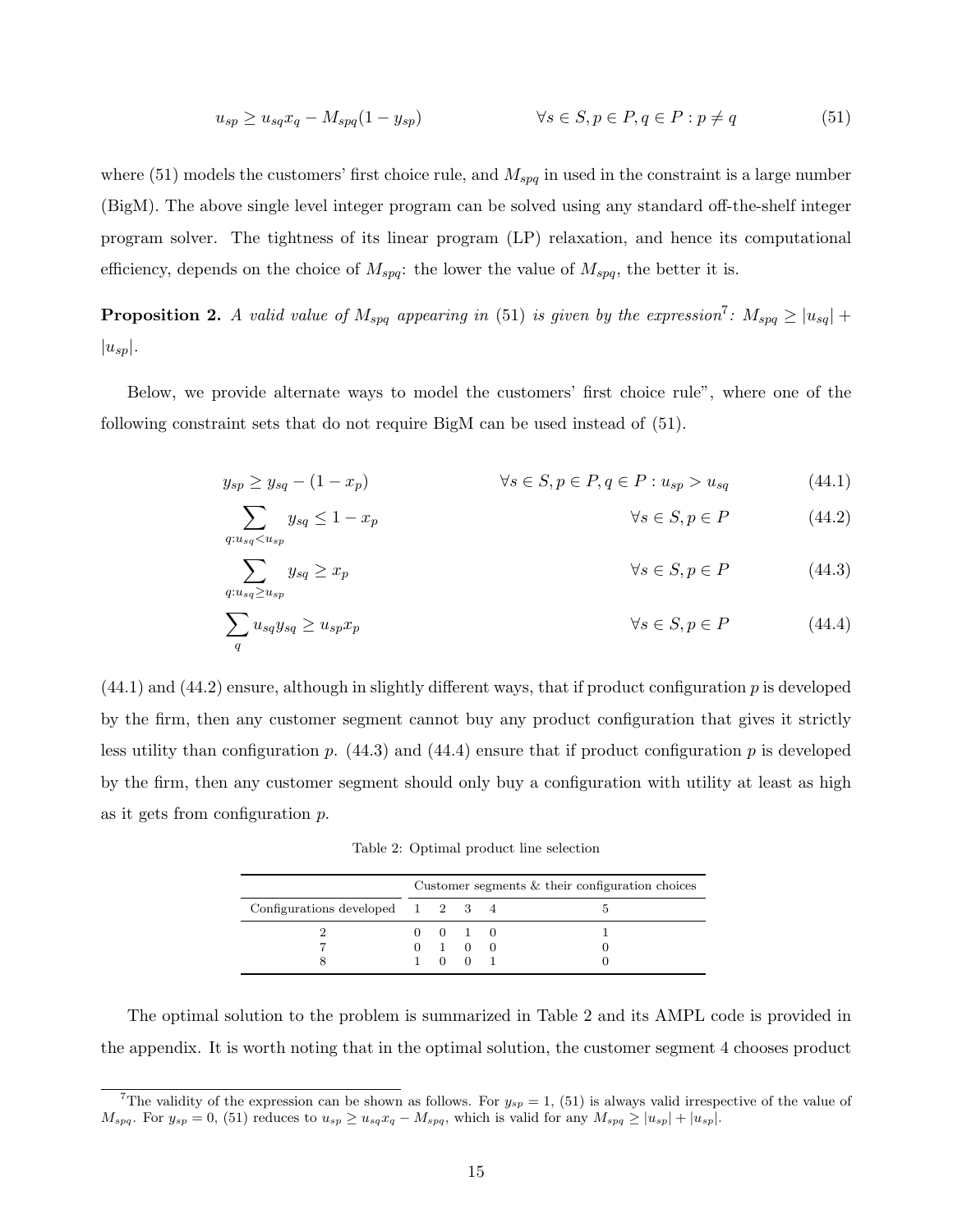$$
u_{sp} \ge u_{sq} x_q - M_{spq} (1 - y_{sp}) \qquad \qquad \forall s \in S, p \in P, q \in P : p \ne q \tag{51}
$$

where  $(51)$  models the customers' first choice rule, and  $M_{spq}$  in used in the constraint is a large number (BigM). The above single level integer program can be solved using any standard off-the-shelf integer program solver. The tightness of its linear program (LP) relaxation, and hence its computational efficiency, depends on the choice of  $M_{spq}$ : the lower the value of  $M_{spq}$ , the better it is.

**Proposition 2.** A valid value of  $M_{spq}$  appearing in (51) is given by the expression<sup>7</sup>:  $M_{spq} \ge |u_{sq}| +$  $|u_{sp}|$ .

Below, we provide alternate ways to model the customers' first choice rule", where one of the following constraint sets that do not require BigM can be used instead of (51).

$$
y_{sp} \ge y_{sq} - (1 - x_p) \qquad \qquad \forall s \in S, p \in P, q \in P : u_{sp} > u_{sq} \qquad (44.1)
$$

$$
\sum_{q:u_{sq} < u_{sp}} y_{sq} \le 1 - x_p \qquad \qquad \forall s \in S, p \in P \tag{44.2}
$$

$$
\sum_{q: u_{sq} \ge u_{sp}} y_{sq} \ge x_p \qquad \qquad \forall s \in S, p \in P \tag{44.3}
$$

$$
\sum_{q} u_{sq} y_{sq} \ge u_{sp} x_p \qquad \qquad \forall s \in S, p \in P \tag{44.4}
$$

 $(44.1)$  and  $(44.2)$  ensure, although in slightly different ways, that if product configuration p is developed by the firm, then any customer segment cannot buy any product configuration that gives it strictly less utility than configuration p.  $(44.3)$  and  $(44.4)$  ensure that if product configuration p is developed by the firm, then any customer segment should only buy a configuration with utility at least as high as it gets from configuration p.

Table 2: Optimal product line selection

|                                                      | Customer segments $&$ their configuration choices |                             |  |  |  |
|------------------------------------------------------|---------------------------------------------------|-----------------------------|--|--|--|
| Configurations developed $1 \quad 2 \quad 3 \quad 4$ |                                                   |                             |  |  |  |
|                                                      |                                                   | $0 \quad 0 \quad 1 \quad 0$ |  |  |  |
|                                                      |                                                   | $0 \quad 1 \quad 0 \quad 0$ |  |  |  |
|                                                      |                                                   | 1001                        |  |  |  |

The optimal solution to the problem is summarized in Table 2 and its AMPL code is provided in the appendix. It is worth noting that in the optimal solution, the customer segment 4 chooses product

<sup>&</sup>lt;sup>7</sup>The validity of the expression can be shown as follows. For  $y_{sp} = 1$ , (51) is always valid irrespective of the value of  $M_{spq}$ . For  $y_{sp} = 0$ , (51) reduces to  $u_{sp} \ge u_{sq}x_q - M_{spq}$ , which is valid for any  $M_{spq} \ge |u_{sp}| + |u_{sp}|$ .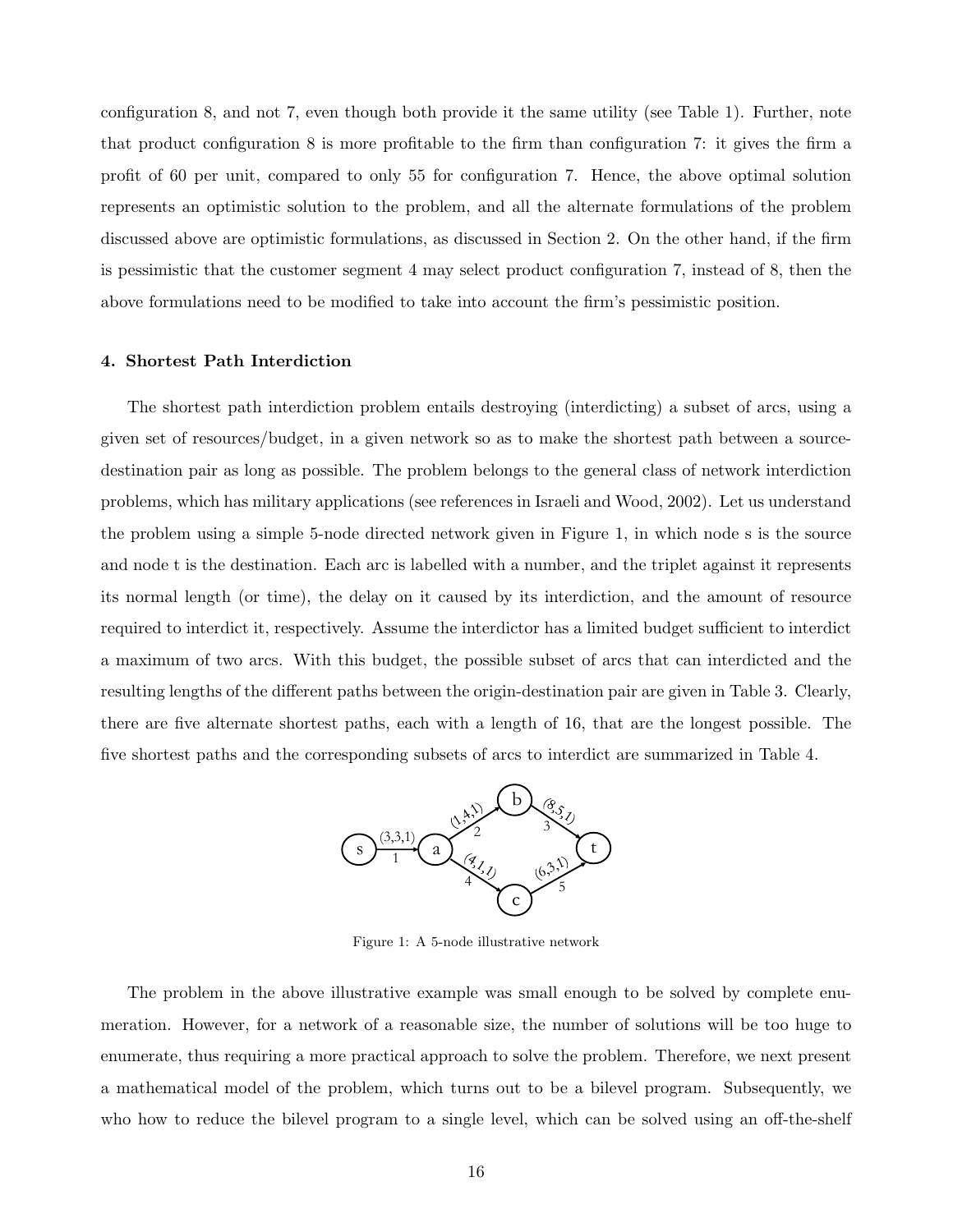configuration 8, and not 7, even though both provide it the same utility (see Table 1). Further, note that product configuration 8 is more profitable to the firm than configuration 7: it gives the firm a profit of 60 per unit, compared to only 55 for configuration 7. Hence, the above optimal solution represents an optimistic solution to the problem, and all the alternate formulations of the problem discussed above are optimistic formulations, as discussed in Section 2. On the other hand, if the firm is pessimistic that the customer segment 4 may select product configuration 7, instead of 8, then the above formulations need to be modified to take into account the firm's pessimistic position.

#### 4. Shortest Path Interdiction

The shortest path interdiction problem entails destroying (interdicting) a subset of arcs, using a given set of resources/budget, in a given network so as to make the shortest path between a sourcedestination pair as long as possible. The problem belongs to the general class of network interdiction problems, which has military applications (see references in Israeli and Wood, 2002). Let us understand the problem using a simple 5-node directed network given in Figure 1, in which node s is the source and node t is the destination. Each arc is labelled with a number, and the triplet against it represents its normal length (or time), the delay on it caused by its interdiction, and the amount of resource required to interdict it, respectively. Assume the interdictor has a limited budget sufficient to interdict a maximum of two arcs. With this budget, the possible subset of arcs that can interdicted and the resulting lengths of the different paths between the origin-destination pair are given in Table 3. Clearly, there are five alternate shortest paths, each with a length of 16, that are the longest possible. The five shortest paths and the corresponding subsets of arcs to interdict are summarized in Table 4.



Figure 1: A 5-node illustrative network

The problem in the above illustrative example was small enough to be solved by complete enumeration. However, for a network of a reasonable size, the number of solutions will be too huge to enumerate, thus requiring a more practical approach to solve the problem. Therefore, we next present a mathematical model of the problem, which turns out to be a bilevel program. Subsequently, we who how to reduce the bilevel program to a single level, which can be solved using an off-the-shelf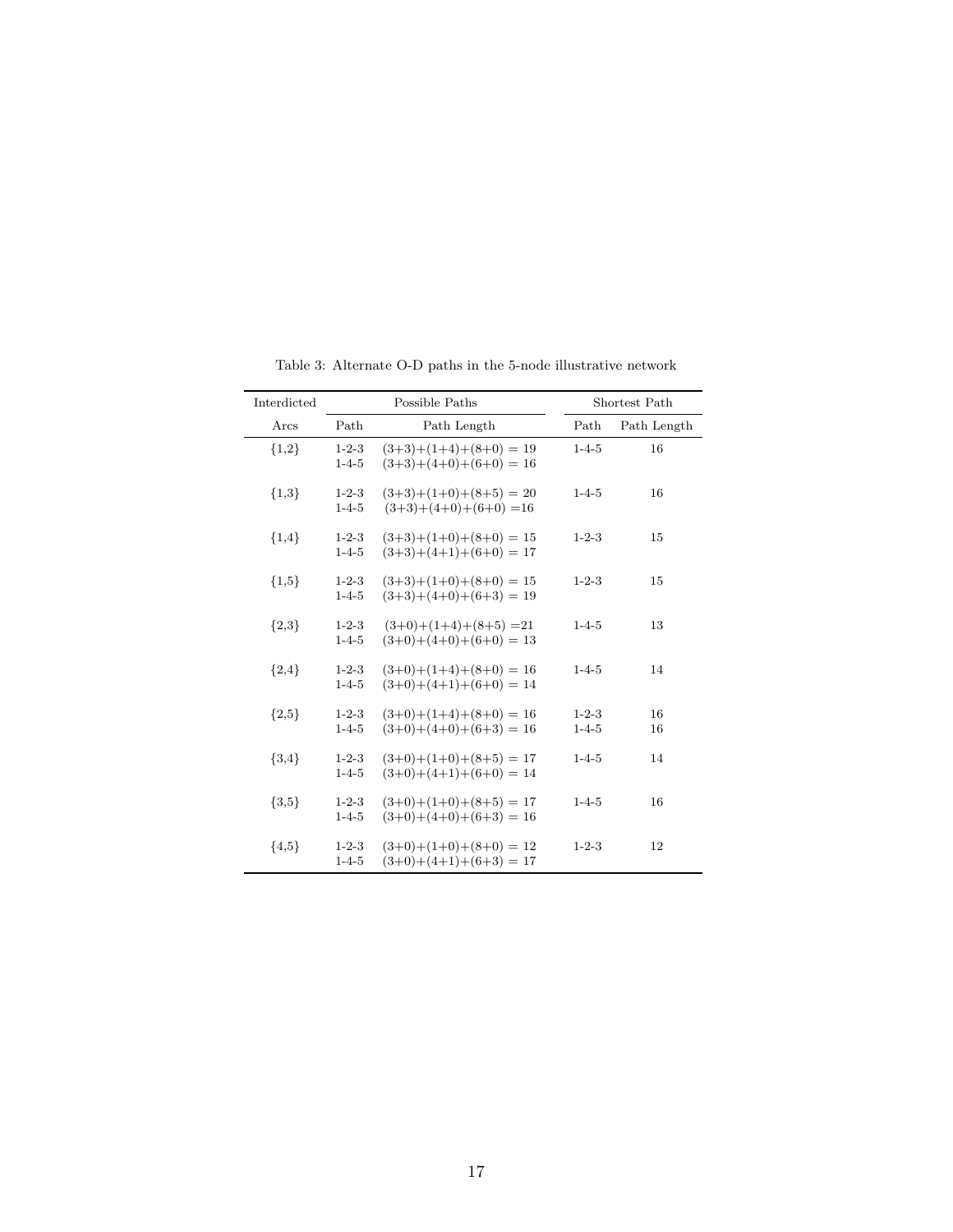| Interdicted | Possible Paths             |                                                      | Shortest Path              |             |  |
|-------------|----------------------------|------------------------------------------------------|----------------------------|-------------|--|
| Arcs        | Path                       | Path Length                                          | Path                       | Path Length |  |
| ${1,2}$     | $1 - 2 - 3$<br>$1 - 4 - 5$ | $(3+3)+(1+4)+(8+0) = 19$<br>$(3+3)+(4+0)+(6+0) = 16$ | $1 - 4 - 5$                | 16          |  |
| ${1,3}$     | $1 - 2 - 3$<br>$1 - 4 - 5$ | $(3+3)+(1+0)+(8+5) = 20$<br>$(3+3)+(4+0)+(6+0) = 16$ | $1 - 4 - 5$                | 16          |  |
| ${1,4}$     | $1 - 2 - 3$<br>$1 - 4 - 5$ | $(3+3)+(1+0)+(8+0) = 15$<br>$(3+3)+(4+1)+(6+0) = 17$ | $1 - 2 - 3$                | 15          |  |
| ${1,5}$     | $1 - 2 - 3$<br>$1 - 4 - 5$ | $(3+3)+(1+0)+(8+0) = 15$<br>$(3+3)+(4+0)+(6+3) = 19$ | $1 - 2 - 3$                | 15          |  |
| ${2,3}$     | $1 - 2 - 3$<br>$1 - 4 - 5$ | $(3+0)+(1+4)+(8+5) = 21$<br>$(3+0)+(4+0)+(6+0) = 13$ | $1 - 4 - 5$                | 13          |  |
| ${2,4}$     | $1 - 2 - 3$<br>$1 - 4 - 5$ | $(3+0)+(1+4)+(8+0) = 16$<br>$(3+0)+(4+1)+(6+0) = 14$ | $1 - 4 - 5$                | 14          |  |
| ${2,5}$     | $1 - 2 - 3$<br>$1 - 4 - 5$ | $(3+0)+(1+4)+(8+0) = 16$<br>$(3+0)+(4+0)+(6+3) = 16$ | $1 - 2 - 3$<br>$1 - 4 - 5$ | 16<br>16    |  |
| ${3,4}$     | $1 - 2 - 3$<br>$1 - 4 - 5$ | $(3+0)+(1+0)+(8+5) = 17$<br>$(3+0)+(4+1)+(6+0) = 14$ | $1 - 4 - 5$                | 14          |  |
| ${3,5}$     | $1 - 2 - 3$<br>$1 - 4 - 5$ | $(3+0)+(1+0)+(8+5) = 17$<br>$(3+0)+(4+0)+(6+3) = 16$ | $1 - 4 - 5$                | 16          |  |
| ${4,5}$     | $1 - 2 - 3$<br>$1 - 4 - 5$ | $(3+0)+(1+0)+(8+0) = 12$<br>$(3+0)+(4+1)+(6+3) = 17$ | $1 - 2 - 3$                | 12          |  |

Table 3: Alternate O-D paths in the 5-node illustrative network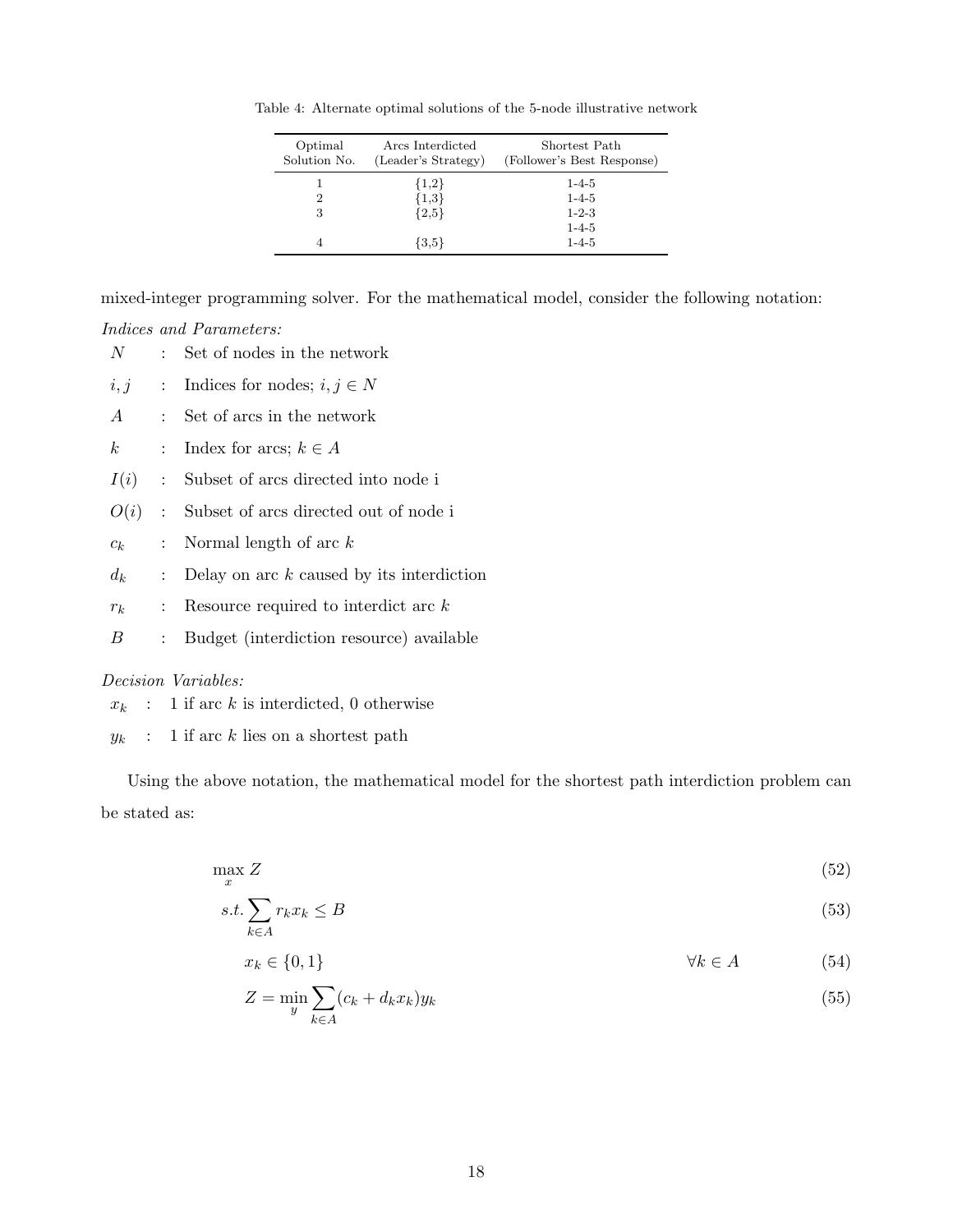Table 4: Alternate optimal solutions of the 5-node illustrative network

| Optimal<br>Solution No. | Arcs Interdicted<br>(Leader's Strategy) | Shortest Path<br>(Follower's Best Response) |
|-------------------------|-----------------------------------------|---------------------------------------------|
|                         | ${1,2}$                                 | $1 - 4 - 5$                                 |
| 2                       | ${1,3}$                                 | $1 - 4 - 5$                                 |
| 3                       | ${2,5}$                                 | $1 - 2 - 3$                                 |
|                         |                                         | $1 - 4 - 5$                                 |
| 4                       | ${3.5}$                                 | $1 - 4 - 5$                                 |

mixed-integer programming solver. For the mathematical model, consider the following notation:

Indices and Parameters:

- $N$  : Set of nodes in the network
- $i, j$  : Indices for nodes;  $i, j \in N$
- $A$  : Set of arcs in the network
- k : Index for arcs;  $k \in A$
- $I(i)$  : Subset of arcs directed into node i
- $O(i)$ : Subset of arcs directed out of node i
- $c_k$  : Normal length of arc k
- $d_k$  : Delay on arc k caused by its interdiction
- $r_k$  : Resource required to interdict arc k
- B : Budget (interdiction resource) available

#### Decision Variables:

- $x_k$  : 1 if arc k is interdicted, 0 otherwise
- $y_k$  : 1 if arc k lies on a shortest path

Using the above notation, the mathematical model for the shortest path interdiction problem can be stated as:

$$
\max_{x} Z \tag{52}
$$

$$
s.t. \sum_{k \in A} r_k x_k \le B \tag{53}
$$

 $x_k \in \{0, 1\}$   $\forall k \in A$  (54)

$$
Z = \min_{y} \sum_{k \in A} (c_k + d_k x_k) y_k \tag{55}
$$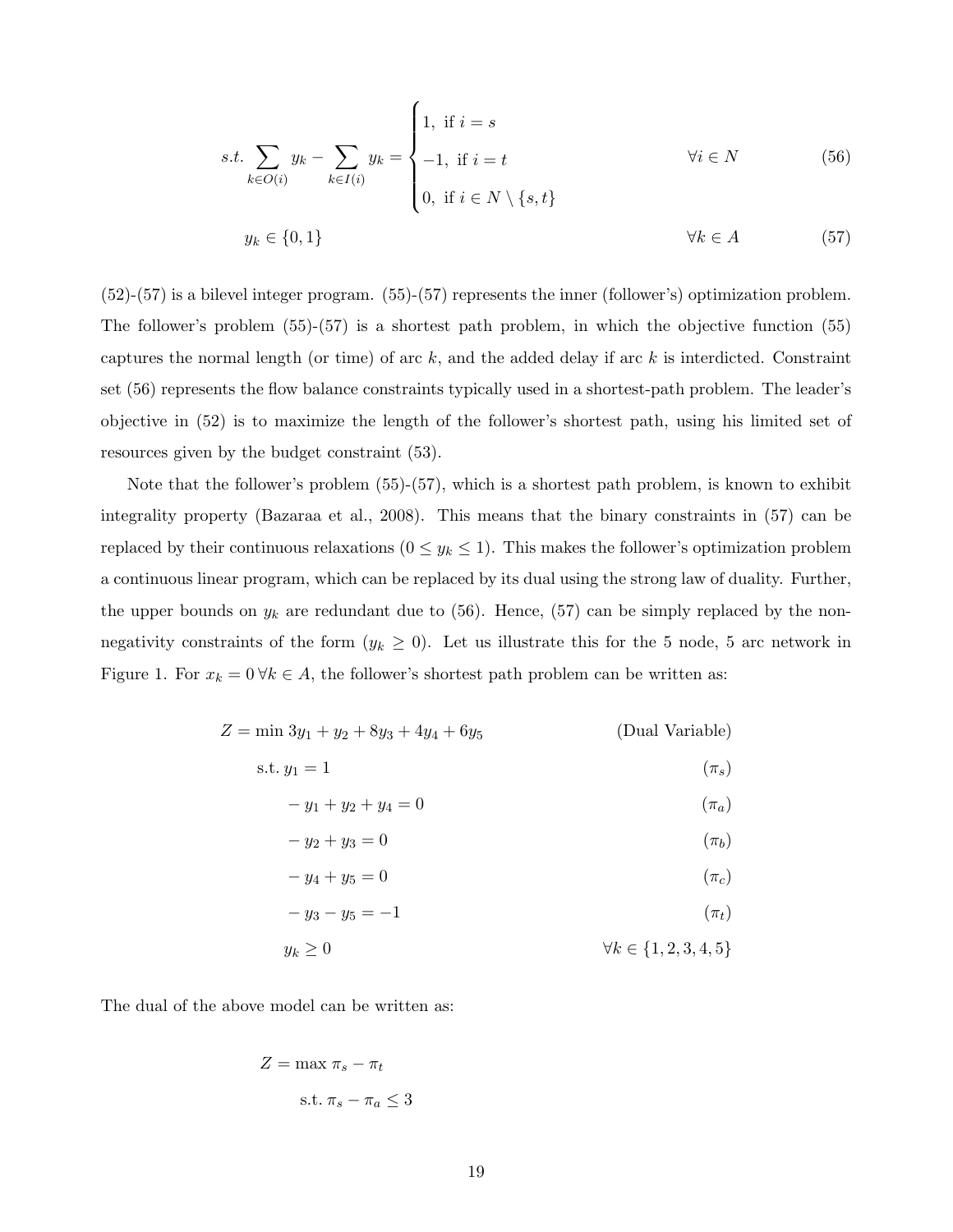$$
s.t. \sum_{k \in O(i)} y_k - \sum_{k \in I(i)} y_k = \begin{cases} 1, & \text{if } i = s \\ -1, & \text{if } i = t \\ 0, & \text{if } i \in N \setminus \{s, t\} \end{cases} \forall i \in N \tag{56}
$$
  

$$
y_k \in \{0, 1\} \qquad \forall k \in A \tag{57}
$$

(52)-(57) is a bilevel integer program. (55)-(57) represents the inner (follower's) optimization problem. The follower's problem (55)-(57) is a shortest path problem, in which the objective function (55) captures the normal length (or time) of arc  $k$ , and the added delay if arc  $k$  is interdicted. Constraint set (56) represents the flow balance constraints typically used in a shortest-path problem. The leader's objective in (52) is to maximize the length of the follower's shortest path, using his limited set of resources given by the budget constraint (53).

Note that the follower's problem (55)-(57), which is a shortest path problem, is known to exhibit integrality property (Bazaraa et al., 2008). This means that the binary constraints in (57) can be replaced by their continuous relaxations  $(0 \le y_k \le 1)$ . This makes the follower's optimization problem a continuous linear program, which can be replaced by its dual using the strong law of duality. Further, the upper bounds on  $y_k$  are redundant due to (56). Hence, (57) can be simply replaced by the nonnegativity constraints of the form  $(y_k \geq 0)$ . Let us illustrate this for the 5 node, 5 arc network in Figure 1. For  $x_k = 0 \forall k \in A$ , the follower's shortest path problem can be written as:

| $Z = \min 3y_1 + y_2 + 8y_3 + 4y_4 + 6y_5$ |  | (Dual Variable) |
|--------------------------------------------|--|-----------------|
|--------------------------------------------|--|-----------------|

$$
s.t. y_1 = 1 \tag{\pi_s}
$$

$$
-y_1 + y_2 + y_4 = 0 \tag{4a}
$$

$$
-y_2 + y_3 = 0 \t\t (\pi_b)
$$

$$
-y_4 + y_5 = 0 \tag{7c}
$$

$$
-y_3 - y_5 = -1 \tag{17}
$$

$$
y_k \ge 0 \qquad \qquad \forall k \in \{1, 2, 3, 4, 5\}
$$

The dual of the above model can be written as:

$$
Z = \max \pi_s - \pi_t
$$
  
s.t.  $\pi_s - \pi_a \leq 3$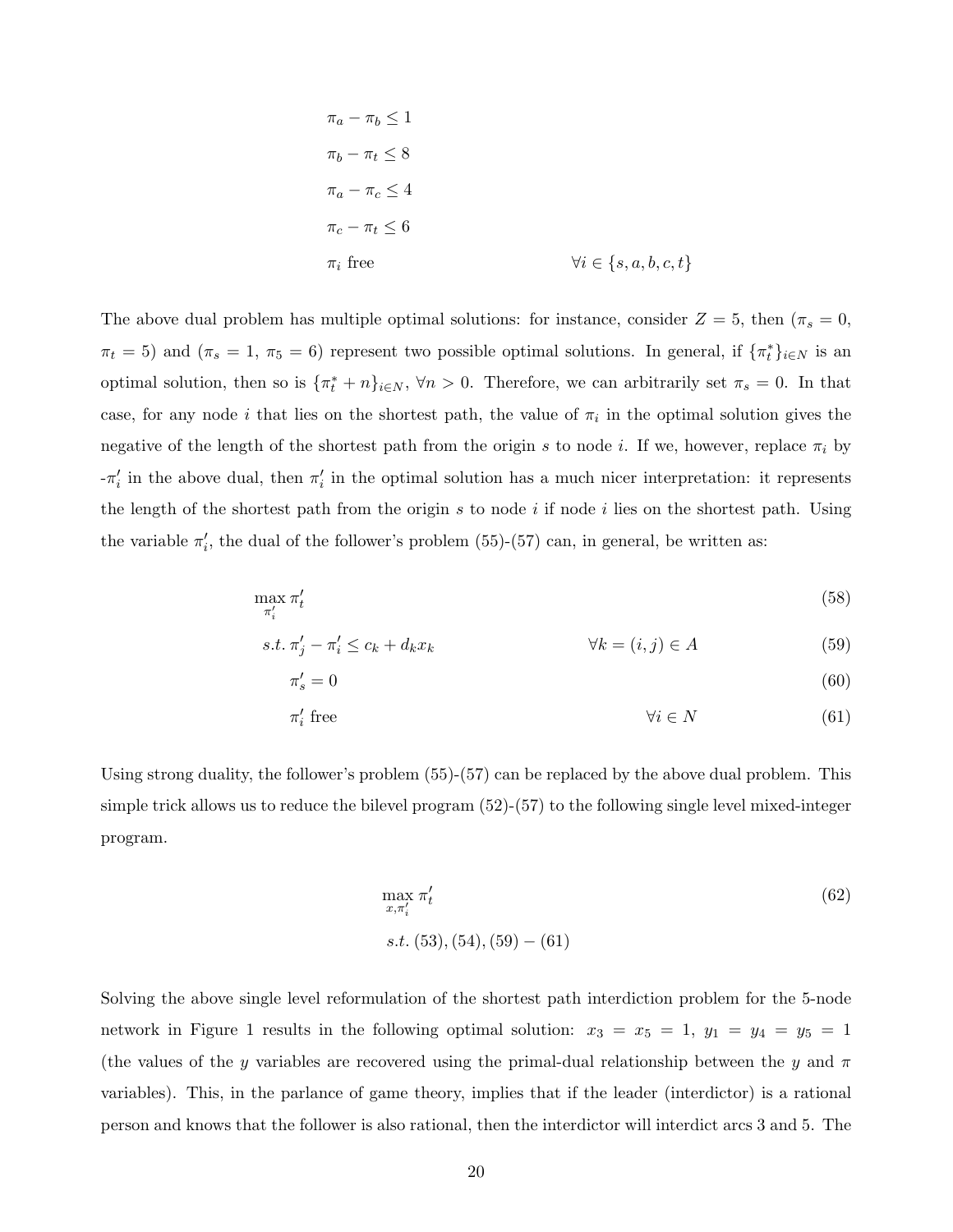$$
\pi_a - \pi_b \le 1
$$
  
\n
$$
\pi_b - \pi_t \le 8
$$
  
\n
$$
\pi_a - \pi_c \le 4
$$
  
\n
$$
\pi_c - \pi_t \le 6
$$
  
\n
$$
\pi_i \text{ free}
$$
  
\n
$$
\forall i \in \{s, a, b, c, t\}
$$

The above dual problem has multiple optimal solutions: for instance, consider  $Z = 5$ , then  $(\pi_s = 0,$  $\pi_t = 5$ ) and  $(\pi_s = 1, \pi_5 = 6)$  represent two possible optimal solutions. In general, if  $\{\pi_t^*\}_{i \in N}$  is an optimal solution, then so is  $\{\pi_t^* + n\}_{i \in N}$ ,  $\forall n > 0$ . Therefore, we can arbitrarily set  $\pi_s = 0$ . In that case, for any node i that lies on the shortest path, the value of  $\pi_i$  in the optimal solution gives the negative of the length of the shortest path from the origin s to node i. If we, however, replace  $\pi_i$  by  $-\pi'_i$  in the above dual, then  $\pi'_i$  in the optimal solution has a much nicer interpretation: it represents the length of the shortest path from the origin  $s$  to node  $i$  if node  $i$  lies on the shortest path. Using the variable  $\pi'_i$ , the dual of the follower's problem (55)-(57) can, in general, be written as:

$$
\max_{\pi'_i} \pi'_t \tag{58}
$$

$$
s.t. \pi'_j - \pi'_i \le c_k + d_k x_k \qquad \forall k = (i, j) \in A
$$
\n
$$
(59)
$$

$$
\pi_s' = 0 \tag{60}
$$

$$
\pi'_i \text{ free} \qquad \qquad \forall i \in N \qquad (61)
$$

Using strong duality, the follower's problem (55)-(57) can be replaced by the above dual problem. This simple trick allows us to reduce the bilevel program (52)-(57) to the following single level mixed-integer program.

$$
\max_{x, \pi'_i} \pi'_t
$$
\n(62)\n  
\n
$$
s.t. (53), (54), (59) - (61)
$$

Solving the above single level reformulation of the shortest path interdiction problem for the 5-node network in Figure 1 results in the following optimal solution:  $x_3 = x_5 = 1$ ,  $y_1 = y_4 = y_5 = 1$ (the values of the y variables are recovered using the primal-dual relationship between the y and  $\pi$ variables). This, in the parlance of game theory, implies that if the leader (interdictor) is a rational person and knows that the follower is also rational, then the interdictor will interdict arcs 3 and 5. The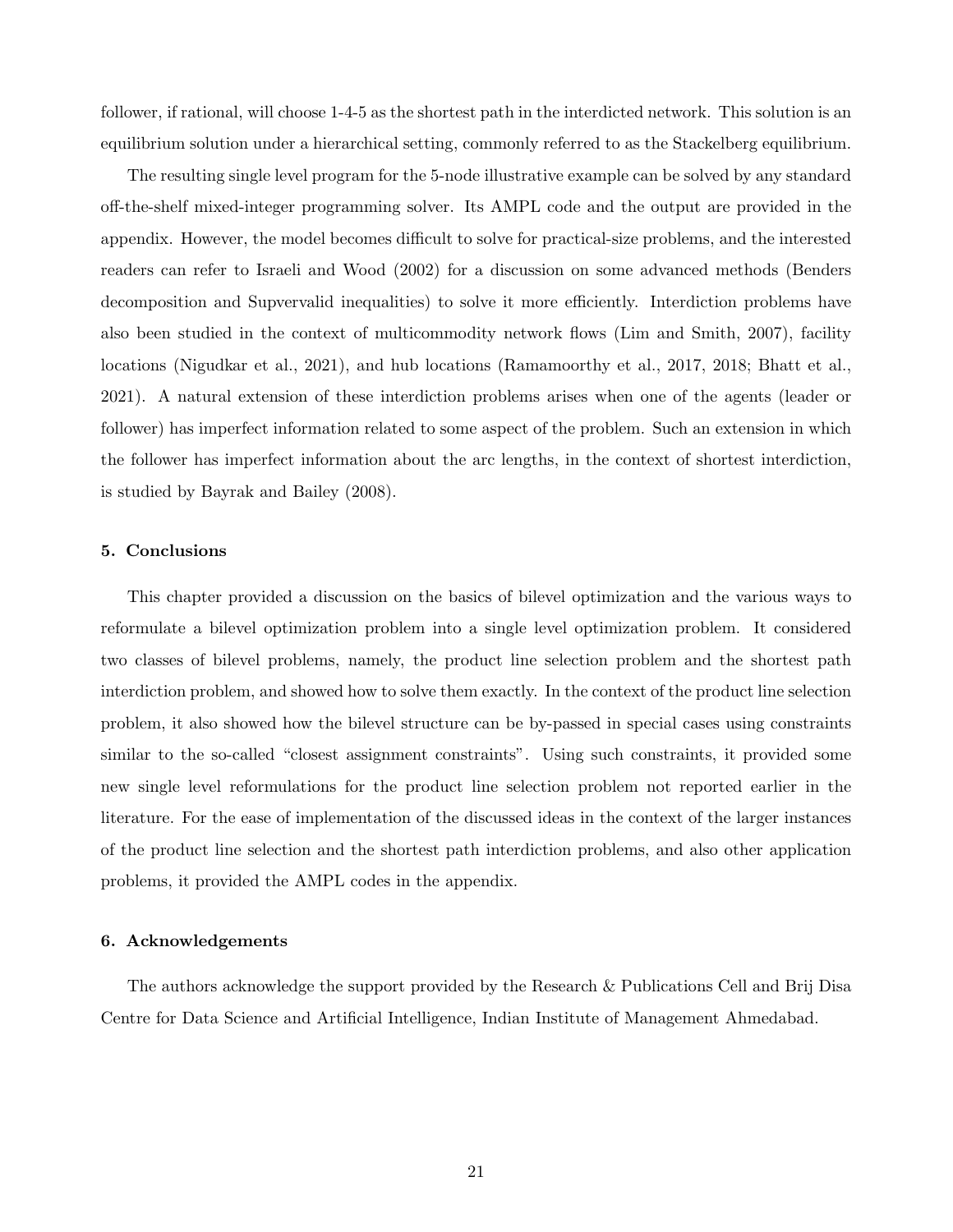follower, if rational, will choose 1-4-5 as the shortest path in the interdicted network. This solution is an equilibrium solution under a hierarchical setting, commonly referred to as the Stackelberg equilibrium.

The resulting single level program for the 5-node illustrative example can be solved by any standard off-the-shelf mixed-integer programming solver. Its AMPL code and the output are provided in the appendix. However, the model becomes difficult to solve for practical-size problems, and the interested readers can refer to Israeli and Wood (2002) for a discussion on some advanced methods (Benders decomposition and Supvervalid inequalities) to solve it more efficiently. Interdiction problems have also been studied in the context of multicommodity network flows (Lim and Smith, 2007), facility locations (Nigudkar et al., 2021), and hub locations (Ramamoorthy et al., 2017, 2018; Bhatt et al., 2021). A natural extension of these interdiction problems arises when one of the agents (leader or follower) has imperfect information related to some aspect of the problem. Such an extension in which the follower has imperfect information about the arc lengths, in the context of shortest interdiction, is studied by Bayrak and Bailey (2008).

#### 5. Conclusions

This chapter provided a discussion on the basics of bilevel optimization and the various ways to reformulate a bilevel optimization problem into a single level optimization problem. It considered two classes of bilevel problems, namely, the product line selection problem and the shortest path interdiction problem, and showed how to solve them exactly. In the context of the product line selection problem, it also showed how the bilevel structure can be by-passed in special cases using constraints similar to the so-called "closest assignment constraints". Using such constraints, it provided some new single level reformulations for the product line selection problem not reported earlier in the literature. For the ease of implementation of the discussed ideas in the context of the larger instances of the product line selection and the shortest path interdiction problems, and also other application problems, it provided the AMPL codes in the appendix.

#### 6. Acknowledgements

The authors acknowledge the support provided by the Research & Publications Cell and Brij Disa Centre for Data Science and Artificial Intelligence, Indian Institute of Management Ahmedabad.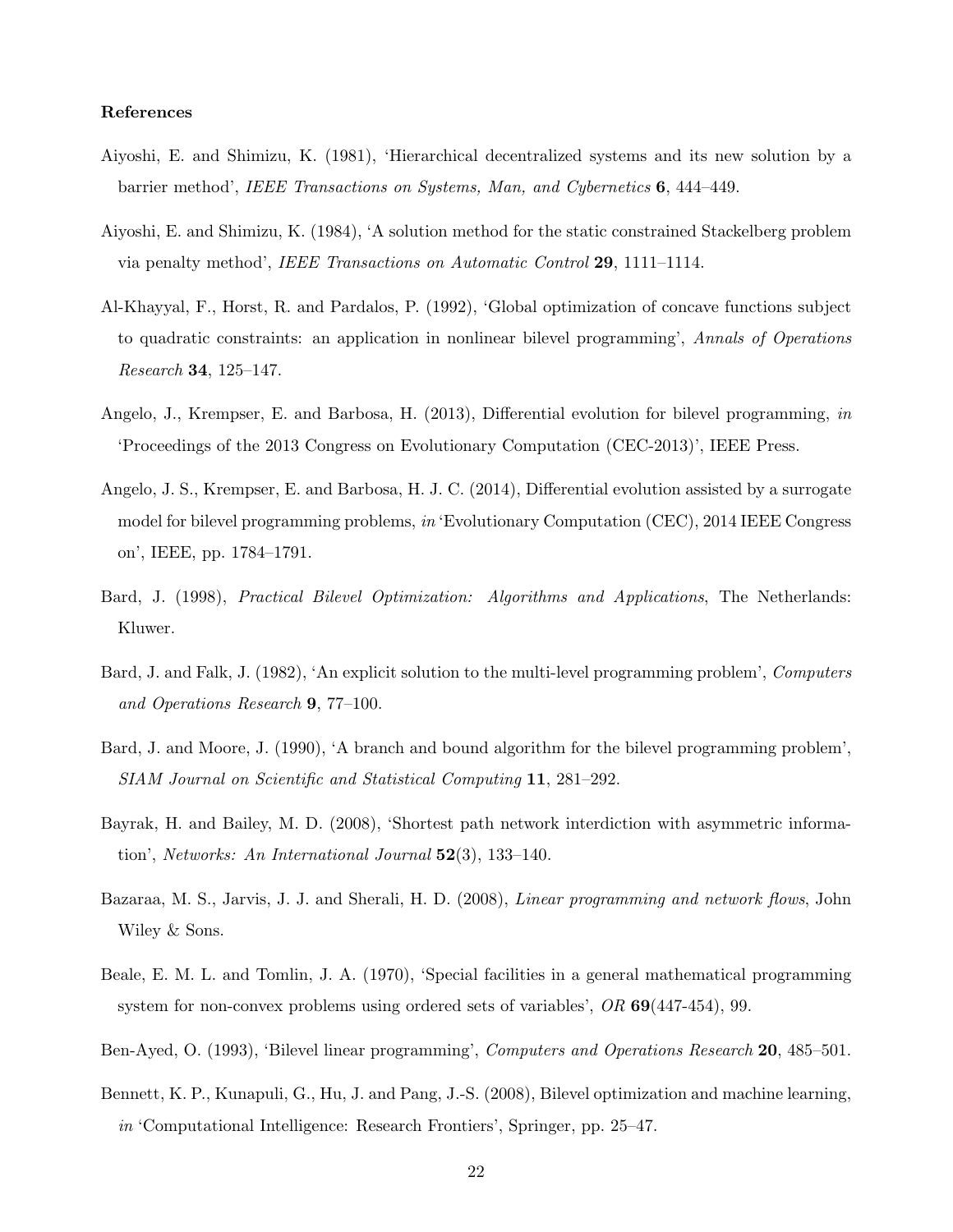#### References

- Aiyoshi, E. and Shimizu, K. (1981), 'Hierarchical decentralized systems and its new solution by a barrier method', IEEE Transactions on Systems, Man, and Cybernetics 6, 444–449.
- Aiyoshi, E. and Shimizu, K. (1984), 'A solution method for the static constrained Stackelberg problem via penalty method', IEEE Transactions on Automatic Control 29, 1111–1114.
- Al-Khayyal, F., Horst, R. and Pardalos, P. (1992), 'Global optimization of concave functions subject to quadratic constraints: an application in nonlinear bilevel programming', Annals of Operations Research 34, 125–147.
- Angelo, J., Krempser, E. and Barbosa, H. (2013), Differential evolution for bilevel programming, in 'Proceedings of the 2013 Congress on Evolutionary Computation (CEC-2013)', IEEE Press.
- Angelo, J. S., Krempser, E. and Barbosa, H. J. C. (2014), Differential evolution assisted by a surrogate model for bilevel programming problems, in 'Evolutionary Computation (CEC), 2014 IEEE Congress on', IEEE, pp. 1784–1791.
- Bard, J. (1998), *Practical Bilevel Optimization: Algorithms and Applications*, The Netherlands: Kluwer.
- Bard, J. and Falk, J. (1982), 'An explicit solution to the multi-level programming problem', Computers and Operations Research 9, 77–100.
- Bard, J. and Moore, J. (1990), 'A branch and bound algorithm for the bilevel programming problem', SIAM Journal on Scientific and Statistical Computing 11, 281–292.
- Bayrak, H. and Bailey, M. D. (2008), 'Shortest path network interdiction with asymmetric information', Networks: An International Journal  $52(3)$ , 133-140.
- Bazaraa, M. S., Jarvis, J. J. and Sherali, H. D. (2008), Linear programming and network flows, John Wiley & Sons.
- Beale, E. M. L. and Tomlin, J. A. (1970), 'Special facilities in a general mathematical programming system for non-convex problems using ordered sets of variables', OR 69(447-454), 99.
- Ben-Ayed, O. (1993), 'Bilevel linear programming', Computers and Operations Research 20, 485–501.
- Bennett, K. P., Kunapuli, G., Hu, J. and Pang, J.-S. (2008), Bilevel optimization and machine learning, in 'Computational Intelligence: Research Frontiers', Springer, pp. 25–47.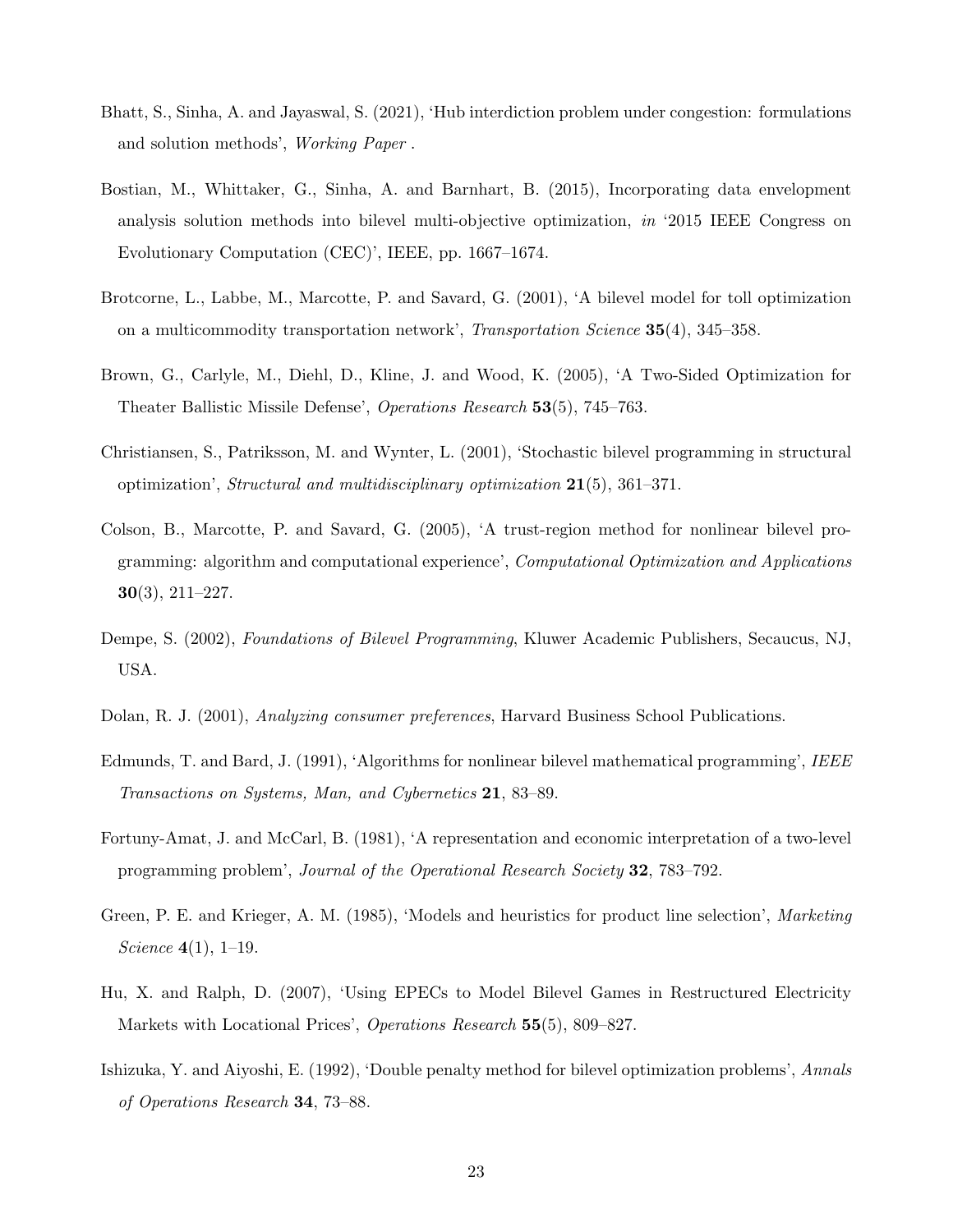- Bhatt, S., Sinha, A. and Jayaswal, S. (2021), 'Hub interdiction problem under congestion: formulations and solution methods', Working Paper .
- Bostian, M., Whittaker, G., Sinha, A. and Barnhart, B. (2015), Incorporating data envelopment analysis solution methods into bilevel multi-objective optimization, in '2015 IEEE Congress on Evolutionary Computation (CEC)', IEEE, pp. 1667–1674.
- Brotcorne, L., Labbe, M., Marcotte, P. and Savard, G. (2001), 'A bilevel model for toll optimization on a multicommodity transportation network', Transportation Science 35(4), 345–358.
- Brown, G., Carlyle, M., Diehl, D., Kline, J. and Wood, K. (2005), 'A Two-Sided Optimization for Theater Ballistic Missile Defense', Operations Research 53(5), 745–763.
- Christiansen, S., Patriksson, M. and Wynter, L. (2001), 'Stochastic bilevel programming in structural optimization', Structural and multidisciplinary optimization  $21(5)$ , 361–371.
- Colson, B., Marcotte, P. and Savard, G. (2005), 'A trust-region method for nonlinear bilevel programming: algorithm and computational experience', Computational Optimization and Applications 30(3), 211–227.
- Dempe, S. (2002), Foundations of Bilevel Programming, Kluwer Academic Publishers, Secaucus, NJ, USA.
- Dolan, R. J. (2001), Analyzing consumer preferences, Harvard Business School Publications.
- Edmunds, T. and Bard, J. (1991), 'Algorithms for nonlinear bilevel mathematical programming', IEEE Transactions on Systems, Man, and Cybernetics 21, 83–89.
- Fortuny-Amat, J. and McCarl, B. (1981), 'A representation and economic interpretation of a two-level programming problem', Journal of the Operational Research Society 32, 783–792.
- Green, P. E. and Krieger, A. M. (1985), 'Models and heuristics for product line selection', Marketing *Science* 4(1), 1–19.
- Hu, X. and Ralph, D. (2007), 'Using EPECs to Model Bilevel Games in Restructured Electricity Markets with Locational Prices', Operations Research 55(5), 809–827.
- Ishizuka, Y. and Aiyoshi, E. (1992), 'Double penalty method for bilevel optimization problems', Annals of Operations Research 34, 73–88.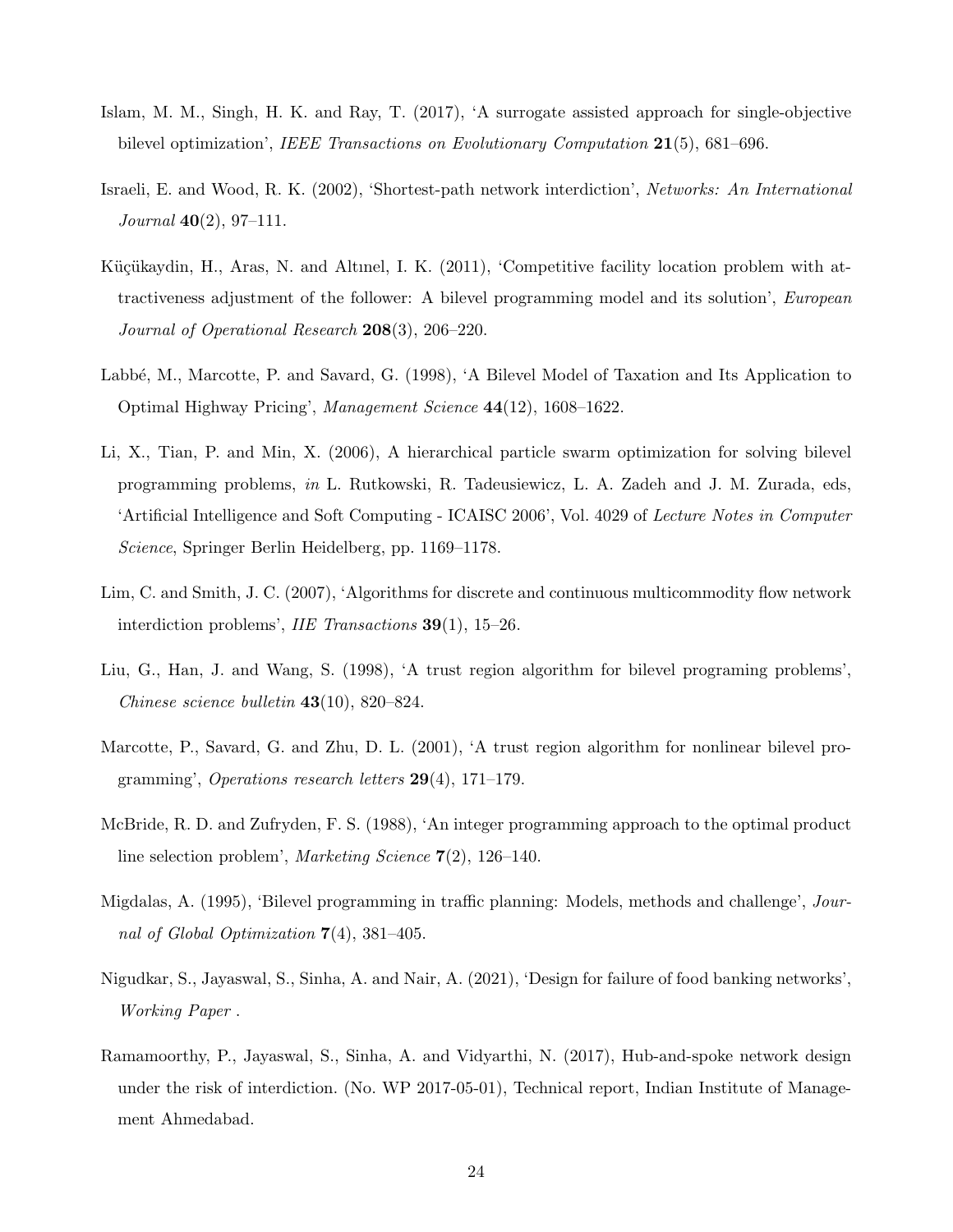- Islam, M. M., Singh, H. K. and Ray, T. (2017), 'A surrogate assisted approach for single-objective bilevel optimization', IEEE Transactions on Evolutionary Computation 21(5), 681–696.
- Israeli, E. and Wood, R. K. (2002), 'Shortest-path network interdiction', Networks: An International Journal 40(2), 97–111.
- Küçükaydin, H., Aras, N. and Altınel, I. K. (2011), 'Competitive facility location problem with attractiveness adjustment of the follower: A bilevel programming model and its solution', European Journal of Operational Research 208(3), 206–220.
- Labbé, M., Marcotte, P. and Savard, G. (1998), 'A Bilevel Model of Taxation and Its Application to Optimal Highway Pricing', Management Science 44(12), 1608–1622.
- Li, X., Tian, P. and Min, X. (2006), A hierarchical particle swarm optimization for solving bilevel programming problems, in L. Rutkowski, R. Tadeusiewicz, L. A. Zadeh and J. M. Zurada, eds, 'Artificial Intelligence and Soft Computing - ICAISC 2006', Vol. 4029 of Lecture Notes in Computer Science, Springer Berlin Heidelberg, pp. 1169–1178.
- Lim, C. and Smith, J. C. (2007), 'Algorithms for discrete and continuous multicommodity flow network interdiction problems', IIE Transactions 39(1), 15–26.
- Liu, G., Han, J. and Wang, S. (1998), 'A trust region algorithm for bilevel programing problems', Chinese science bulletin 43(10), 820–824.
- Marcotte, P., Savard, G. and Zhu, D. L. (2001), 'A trust region algorithm for nonlinear bilevel programming', Operations research letters 29(4), 171–179.
- McBride, R. D. and Zufryden, F. S. (1988), 'An integer programming approach to the optimal product line selection problem', Marketing Science 7(2), 126–140.
- Migdalas, A. (1995), 'Bilevel programming in traffic planning: Models, methods and challenge', Journal of Global Optimization 7(4), 381–405.
- Nigudkar, S., Jayaswal, S., Sinha, A. and Nair, A. (2021), 'Design for failure of food banking networks', Working Paper .
- Ramamoorthy, P., Jayaswal, S., Sinha, A. and Vidyarthi, N. (2017), Hub-and-spoke network design under the risk of interdiction. (No. WP 2017-05-01), Technical report, Indian Institute of Management Ahmedabad.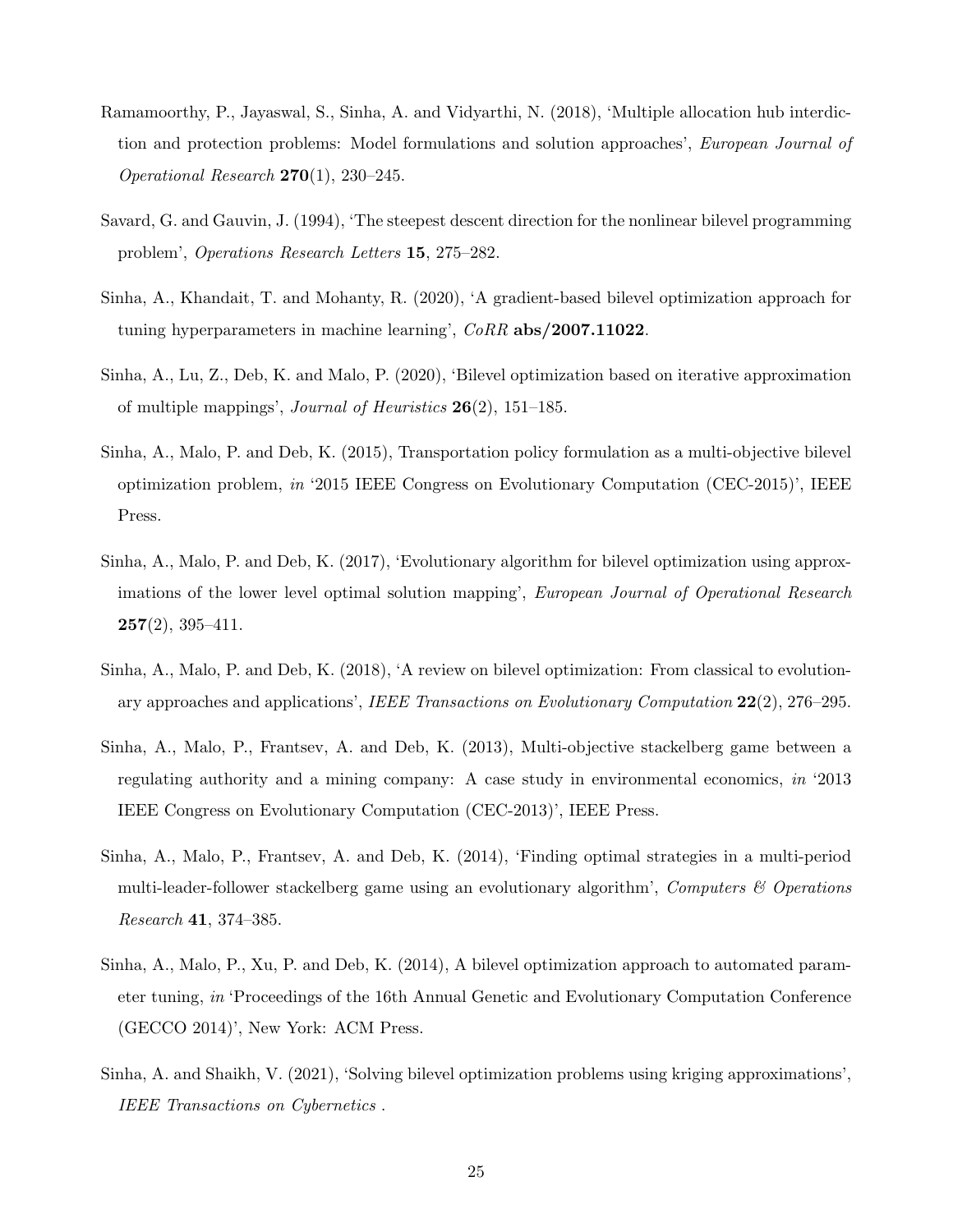- Ramamoorthy, P., Jayaswal, S., Sinha, A. and Vidyarthi, N. (2018), 'Multiple allocation hub interdiction and protection problems: Model formulations and solution approaches', European Journal of Operational Research  $270(1)$ ,  $230-245$ .
- Savard, G. and Gauvin, J. (1994), 'The steepest descent direction for the nonlinear bilevel programming problem', Operations Research Letters 15, 275–282.
- Sinha, A., Khandait, T. and Mohanty, R. (2020), 'A gradient-based bilevel optimization approach for tuning hyperparameters in machine learning', CoRR abs/2007.11022.
- Sinha, A., Lu, Z., Deb, K. and Malo, P. (2020), 'Bilevel optimization based on iterative approximation of multiple mappings', *Journal of Heuristics*  $26(2)$ , 151–185.
- Sinha, A., Malo, P. and Deb, K. (2015), Transportation policy formulation as a multi-objective bilevel optimization problem, in '2015 IEEE Congress on Evolutionary Computation (CEC-2015)', IEEE Press.
- Sinha, A., Malo, P. and Deb, K. (2017), 'Evolutionary algorithm for bilevel optimization using approximations of the lower level optimal solution mapping', *European Journal of Operational Research*  $257(2), 395-411.$
- Sinha, A., Malo, P. and Deb, K. (2018), 'A review on bilevel optimization: From classical to evolutionary approaches and applications', IEEE Transactions on Evolutionary Computation 22(2), 276–295.
- Sinha, A., Malo, P., Frantsev, A. and Deb, K. (2013), Multi-objective stackelberg game between a regulating authority and a mining company: A case study in environmental economics, in '2013 IEEE Congress on Evolutionary Computation (CEC-2013)', IEEE Press.
- Sinha, A., Malo, P., Frantsev, A. and Deb, K. (2014), 'Finding optimal strategies in a multi-period multi-leader-follower stackelberg game using an evolutionary algorithm', Computers  $\mathcal B$  Operations Research 41, 374–385.
- Sinha, A., Malo, P., Xu, P. and Deb, K. (2014), A bilevel optimization approach to automated parameter tuning, in 'Proceedings of the 16th Annual Genetic and Evolutionary Computation Conference (GECCO 2014)', New York: ACM Press.
- Sinha, A. and Shaikh, V. (2021), 'Solving bilevel optimization problems using kriging approximations', IEEE Transactions on Cybernetics .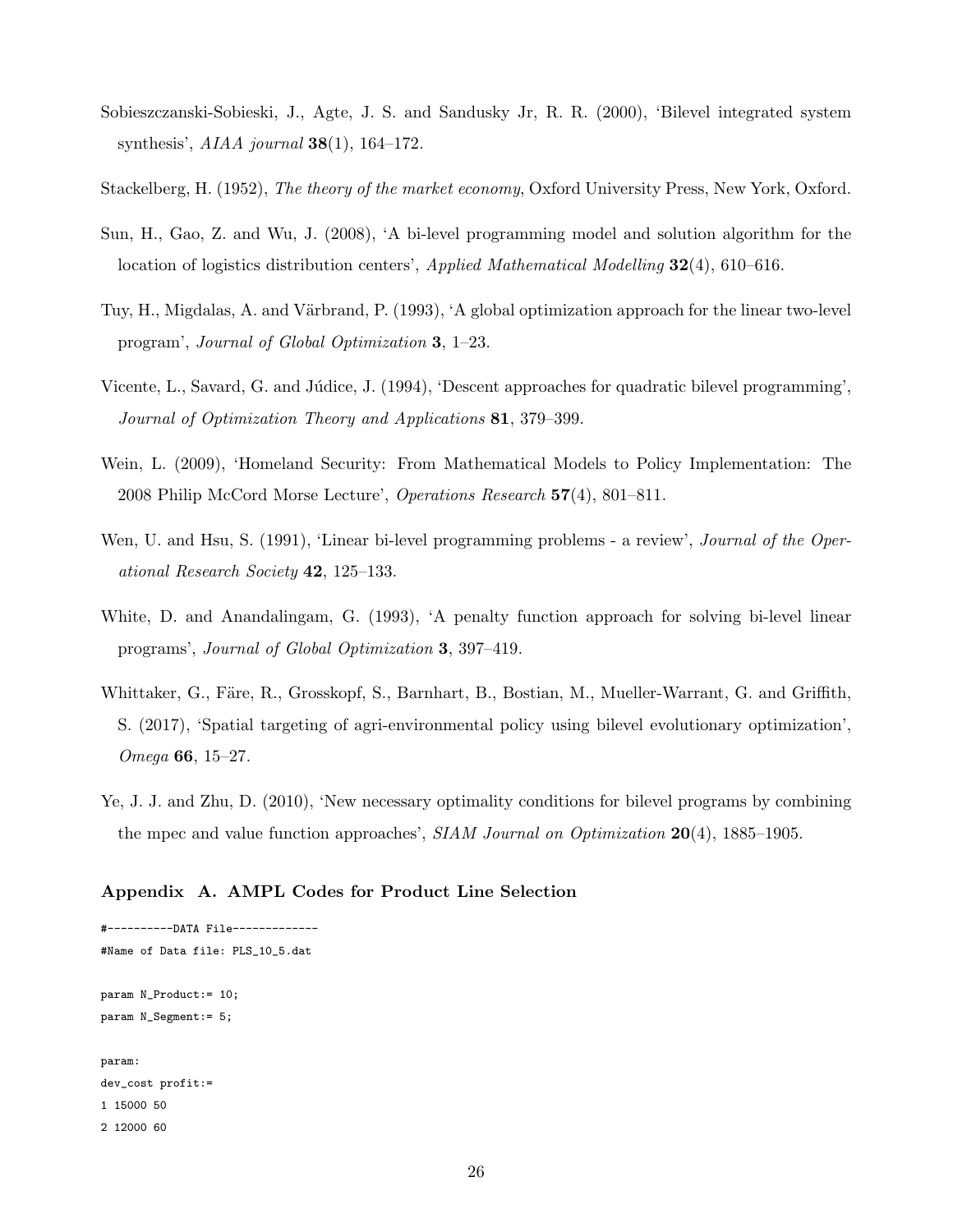- Sobieszczanski-Sobieski, J., Agte, J. S. and Sandusky Jr, R. R. (2000), 'Bilevel integrated system synthesis',  $AIAA$  journal  $38(1)$ , 164-172.
- Stackelberg, H. (1952), The theory of the market economy, Oxford University Press, New York, Oxford.
- Sun, H., Gao, Z. and Wu, J. (2008), 'A bi-level programming model and solution algorithm for the location of logistics distribution centers', Applied Mathematical Modelling 32(4), 610–616.
- Tuy, H., Migdalas, A. and Värbrand, P. (1993), 'A global optimization approach for the linear two-level program', Journal of Global Optimization 3, 1–23.
- Vicente, L., Savard, G. and Júdice, J. (1994), 'Descent approaches for quadratic bilevel programming', Journal of Optimization Theory and Applications 81, 379–399.
- Wein, L. (2009), 'Homeland Security: From Mathematical Models to Policy Implementation: The 2008 Philip McCord Morse Lecture', Operations Research 57(4), 801–811.
- Wen, U. and Hsu, S. (1991), 'Linear bi-level programming problems a review', *Journal of the Oper*ational Research Society 42, 125–133.
- White, D. and Anandalingam, G. (1993), 'A penalty function approach for solving bi-level linear programs', Journal of Global Optimization 3, 397–419.
- Whittaker, G., Färe, R., Grosskopf, S., Barnhart, B., Bostian, M., Mueller-Warrant, G. and Griffith, S. (2017), 'Spatial targeting of agri-environmental policy using bilevel evolutionary optimization', Omega 66, 15–27.
- Ye, J. J. and Zhu, D. (2010), 'New necessary optimality conditions for bilevel programs by combining the mpec and value function approaches', SIAM Journal on Optimization 20(4), 1885–1905.

#### Appendix A. AMPL Codes for Product Line Selection

#----------DATA File------------- #Name of Data file: PLS\_10\_5.dat param N\_Product:= 10; param N\_Segment:= 5; param: dev\_cost profit:= 1 15000 50 2 12000 60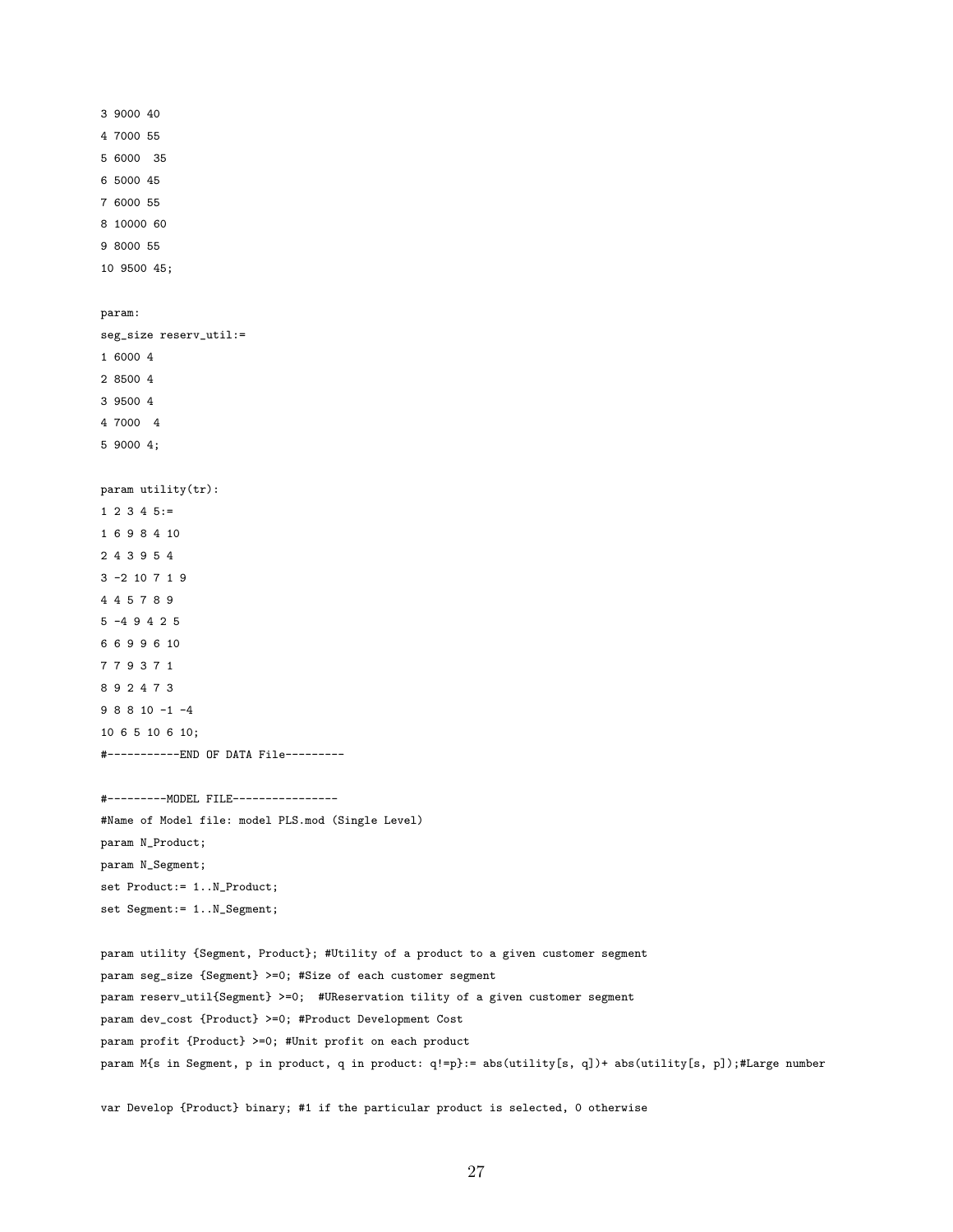```
3 9000 40
4 7000 55
5 6000 35
6 5000 45
7 6000 55
8 10000 60
9 8000 55
10 9500 45;
param:
seg_size reserv_util:=
1 6000 4
2 8500 4
3 9500 4
4 7000 4
5 9000 4;
param utility(tr):
1 2 3 4 5 :=1 6 9 8 4 10
2 4 3 9 5 4
3 -2 10 7 1 9
4 4 5 7 8 9
5 -4 9 4 2 5
6 6 9 9 6 10
7 7 9 3 7 1
8 9 2 4 7 3
9 8 8 10 -1 -4
10 6 5 10 6 10;
#-----------END OF DATA File---------
#---------MODEL FILE----------------
```

```
#Name of Model file: model PLS.mod (Single Level)
param N_Product;
param N_Segment;
set Product:= 1..N_Product;
set Segment:= 1..N_Segment;
```

```
param utility {Segment, Product}; #Utility of a product to a given customer segment
param seg_size {Segment} >=0; #Size of each customer segment
param reserv_util{Segment} >=0; #UReservation tility of a given customer segment
param dev_cost {Product} >=0; #Product Development Cost
param profit {Product} >=0; #Unit profit on each product
param M{s in Segment, p in product, q in product: q!=p}:= abs(utility[s, q])+ abs(utility[s, p]);#Large number
```
var Develop {Product} binary; #1 if the particular product is selected, 0 otherwise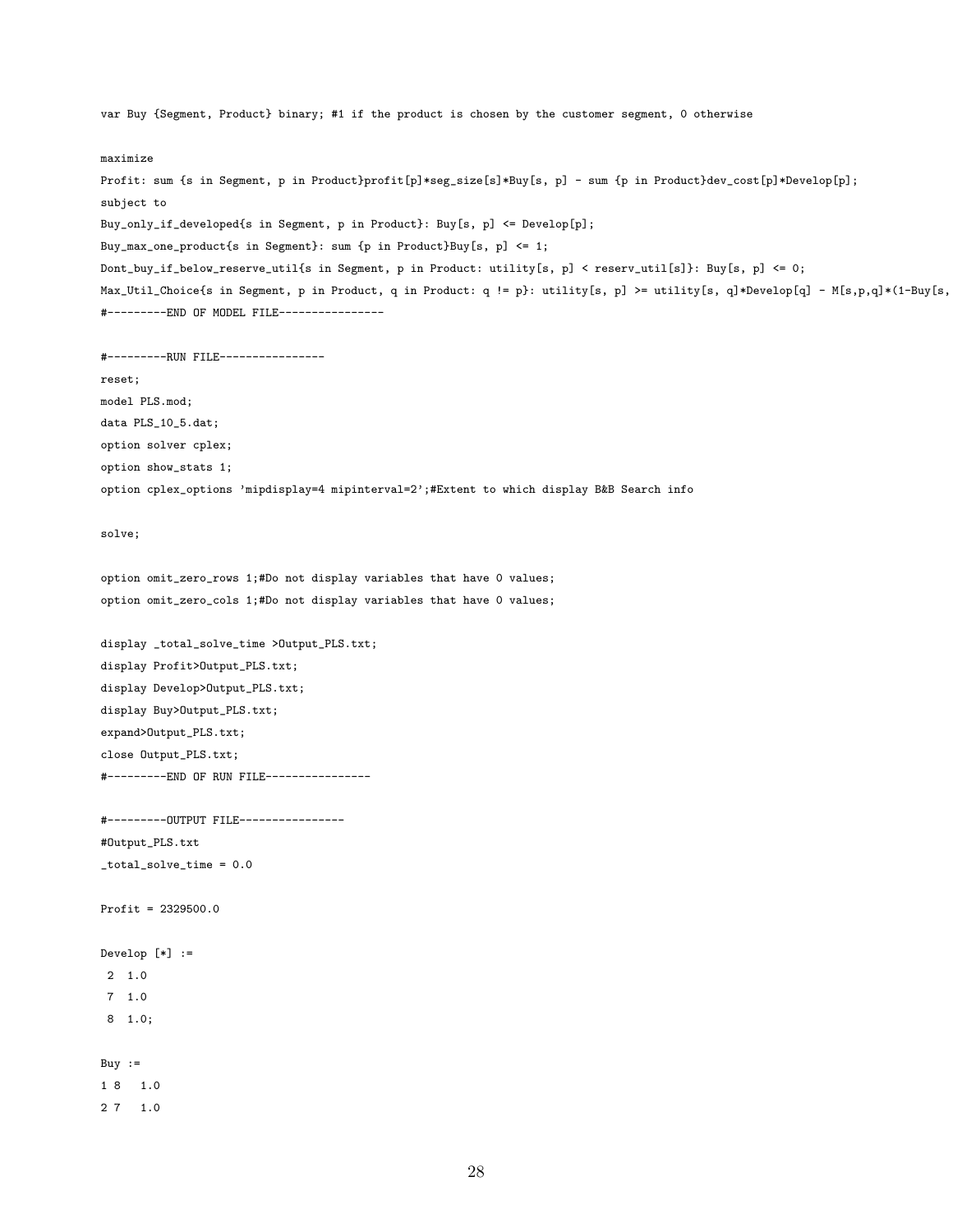var Buy {Segment, Product} binary; #1 if the product is chosen by the customer segment, 0 otherwise maximize Profit: sum {s in Segment, p in Product}profit[p]\*seg\_size[s]\*Buy[s, p] - sum {p in Product}dev\_cost[p]\*Develop[p]; subject to Buy\_only\_if\_developed{s in Segment, p in Product}: Buy[s, p] <= Develop[p]; Buy\_max\_one\_product{s in Segment}: sum {p in Product}Buy[s, p] <= 1; Dont\_buy\_if\_below\_reserve\_util{s in Segment, p in Product: utility[s, p] < reserv\_util[s]}: Buy[s, p] <= 0; Max\_Util\_Choice{s in Segment, p in Product, q in Product: q != p}: utility[s, p] >= utility[s, q]\*Develop[q] - M[s,p,q]\*(1-Buy[s, #---------END OF MODEL FILE---------------- #---------RUN FILE--------------- reset; model PLS.mod; data PLS\_10\_5.dat; option solver cplex; option show\_stats 1; option cplex\_options 'mipdisplay=4 mipinterval=2';#Extent to which display B&B Search info solve; option omit\_zero\_rows 1;#Do not display variables that have 0 values; option omit\_zero\_cols 1;#Do not display variables that have 0 values; display \_total\_solve\_time >Output\_PLS.txt; display Profit>Output\_PLS.txt; display Develop>Output\_PLS.txt; display Buy>Output\_PLS.txt; expand>Output\_PLS.txt; close Output\_PLS.txt; #---------END OF RUN FILE---------------- #---------OUTPUT FILE---------------- #Output\_PLS.txt \_total\_solve\_time = 0.0 Profit = 2329500.0 Develop [\*] := 2 1.0 7 1.0 8 1.0; Buy  $:=$ 1 8 1.0

2 7 1.0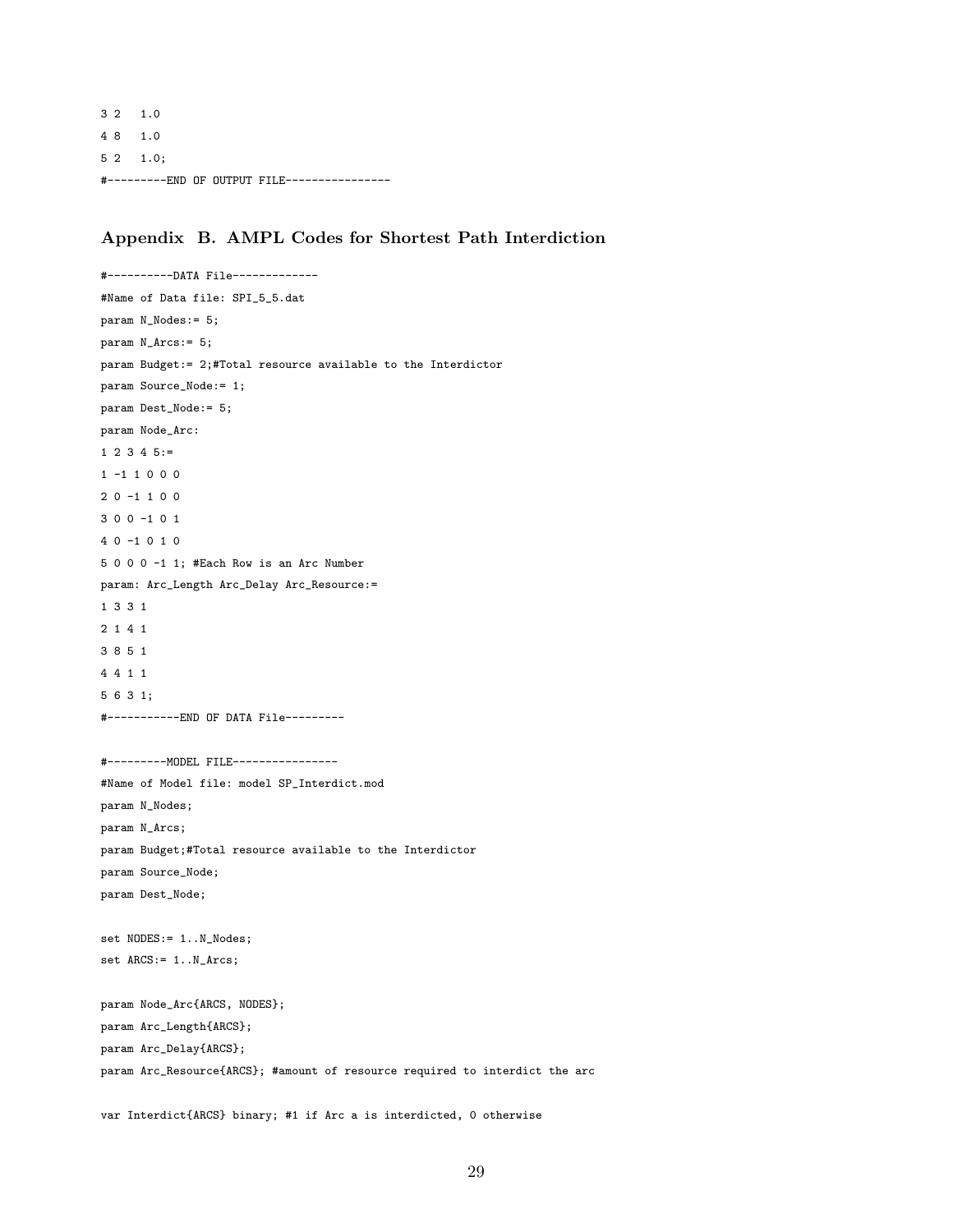3 2 1.0 4 8 1.0 5 2 1.0; #---------END OF OUTPUT FILE----------------

#### Appendix B. AMPL Codes for Shortest Path Interdiction

#----------DATA File------------- #Name of Data file: SPI\_5\_5.dat param N\_Nodes:= 5; param N\_Arcs:= 5; param Budget:= 2;#Total resource available to the Interdictor param Source\_Node:= 1; param Dest\_Node:= 5; param Node\_Arc:  $1 \t2 \t3 \t4 \t5 :=$ 1 -1 1 0 0 0 2 0 -1 1 0 0 3 0 0 -1 0 1 4 0 -1 0 1 0 5 0 0 0 -1 1; #Each Row is an Arc Number param: Arc\_Length Arc\_Delay Arc\_Resource:= 1 3 3 1 2 1 4 1 3 8 5 1 4 4 1 1 5 6 3 1; #-----------END OF DATA File--------- #---------MODEL FILE---------------- #Name of Model file: model SP\_Interdict.mod param N\_Nodes; param N\_Arcs; param Budget;#Total resource available to the Interdictor param Source\_Node; param Dest\_Node; set NODES: = 1..N\_Nodes; set  $ARCS := 1.N\rule{0pt}{0pt}1.N\rule{0pt}{0pt}1$ param Node\_Arc{ARCS, NODES}; param Arc\_Length{ARCS}; param Arc\_Delay{ARCS}; param Arc\_Resource{ARCS}; #amount of resource required to interdict the arc

var Interdict{ARCS} binary; #1 if Arc a is interdicted, 0 otherwise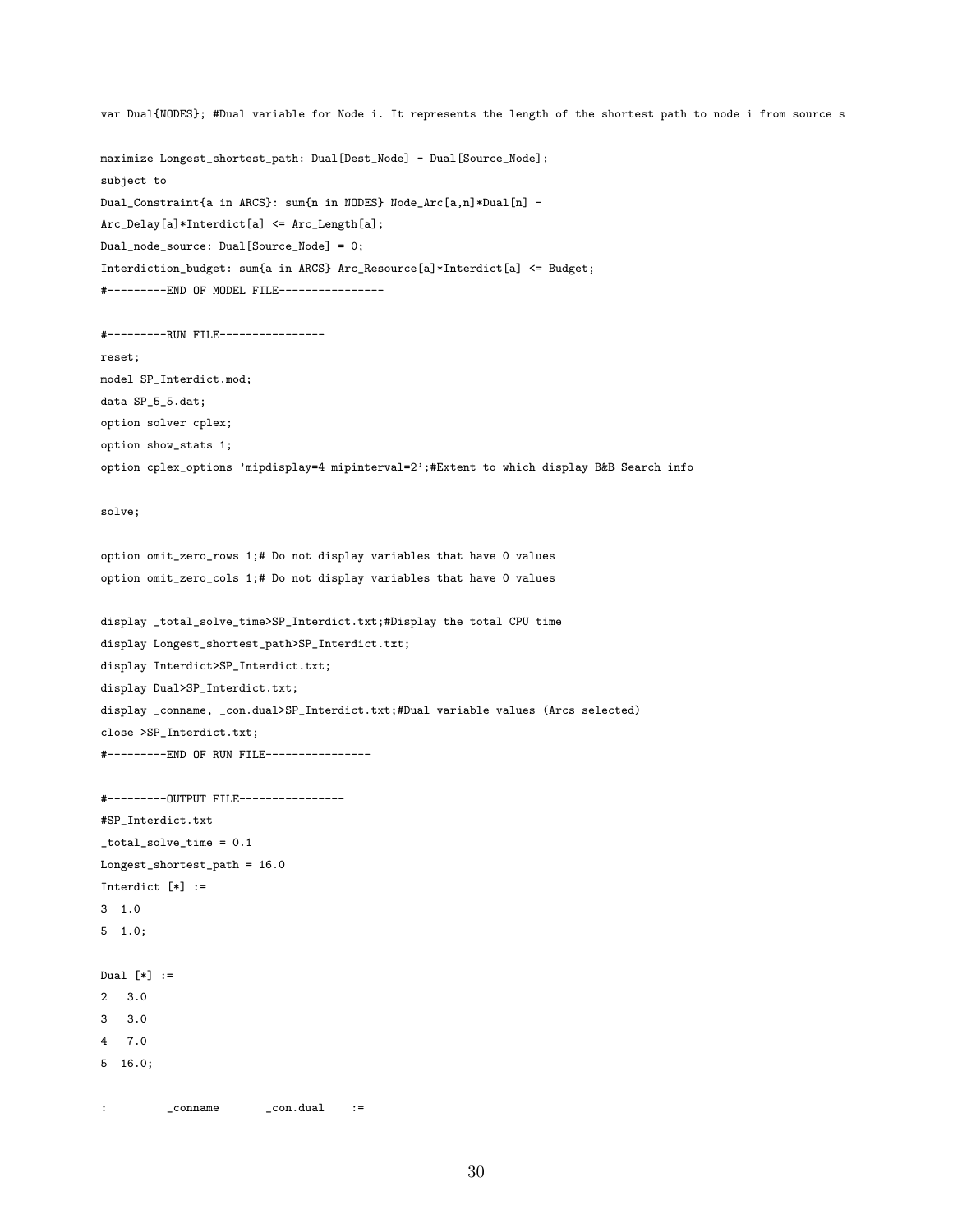var Dual{NODES}; #Dual variable for Node i. It represents the length of the shortest path to node i from source s

maximize Longest\_shortest\_path: Dual[Dest\_Node] - Dual[Source\_Node]; subject to Dual\_Constraint{a in ARCS}: sum{n in NODES} Node\_Arc[a,n]\*Dual[n] - Arc\_Delay[a]\*Interdict[a] <= Arc\_Length[a]; Dual\_node\_source: Dual[Source\_Node] = 0; Interdiction\_budget: sum{a in ARCS} Arc\_Resource[a]\*Interdict[a] <= Budget; #---------END OF MODEL FILE----------------

```
#---------RUN FILE----------------
reset;
model SP_Interdict.mod;
data SP_5_5.dat;
option solver cplex;
option show_stats 1;
option cplex_options 'mipdisplay=4 mipinterval=2';#Extent to which display B&B Search info
```
solve;

```
option omit_zero_rows 1;# Do not display variables that have 0 values
option omit_zero_cols 1;# Do not display variables that have 0 values
```

```
display _total_solve_time>SP_Interdict.txt;#Display the total CPU time
display Longest_shortest_path>SP_Interdict.txt;
display Interdict>SP_Interdict.txt;
display Dual>SP_Interdict.txt;
display _conname, _con.dual>SP_Interdict.txt;#Dual variable values (Arcs selected)
close >SP_Interdict.txt;
#---------END OF RUN FILE----------------
```

```
#---------OUTPUT FILE----------------
#SP_Interdict.txt
_total_solve_time = 0.1
Longest_shortest_path = 16.0
Interdict [*] :=
3 1.0
5 1.0;
Dual [*] :=
2 3.0
3 3.0
4 7.0
```

```
5 16.0;
```
: conname \_con.dual :=